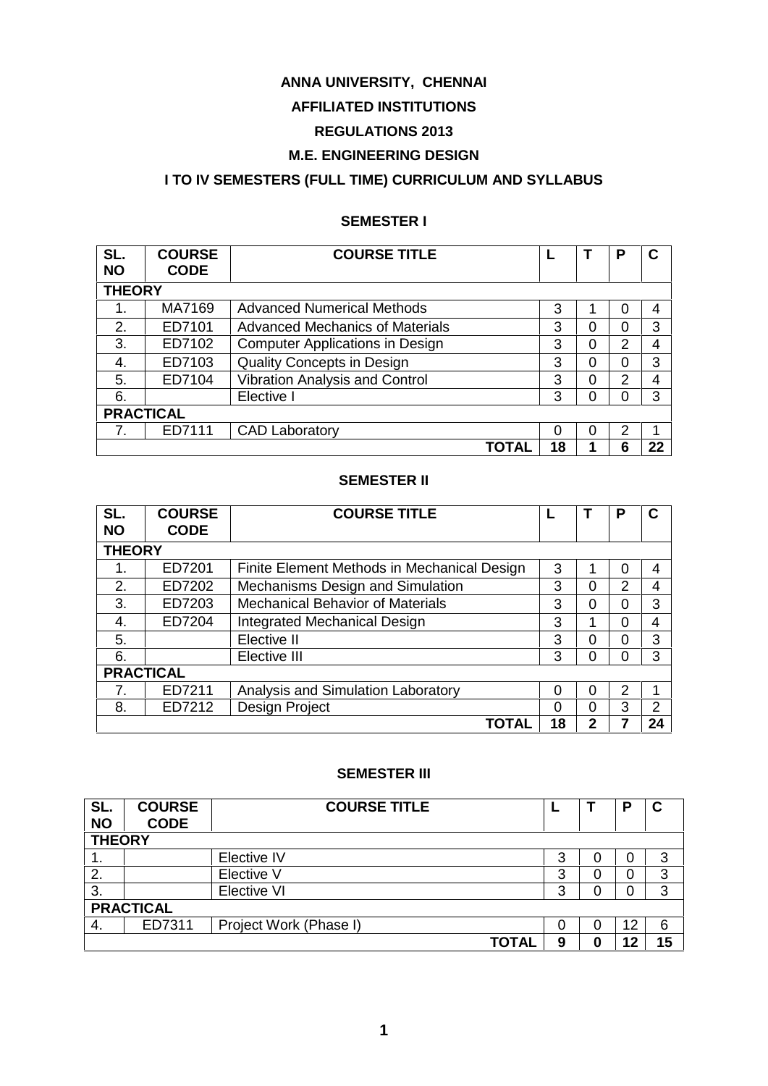# **ANNA UNIVERSITY, CHENNAI**

# **AFFILIATED INSTITUTIONS**

# **REGULATIONS 2013**

# **M.E. ENGINEERING DESIGN**

# **I TO IV SEMESTERS (FULL TIME) CURRICULUM AND SYLLABUS**

# **SEMESTER I**

| SL.           | <b>COURSE</b>    | <b>COURSE TITLE</b>                    |          |   | Р              | С  |
|---------------|------------------|----------------------------------------|----------|---|----------------|----|
| <b>NO</b>     | <b>CODE</b>      |                                        |          |   |                |    |
| <b>THEORY</b> |                  |                                        |          |   |                |    |
| 1.            | MA7169           | <b>Advanced Numerical Methods</b>      | 3        |   | 0              | 4  |
| 2.            | ED7101           | <b>Advanced Mechanics of Materials</b> | 3        | 0 | 0              | 3  |
| 3.            | ED7102           | <b>Computer Applications in Design</b> | 3        | 0 | 2              | 4  |
| 4.            | ED7103           | <b>Quality Concepts in Design</b>      | 3        | 0 | 0              | 3  |
| 5.            | ED7104           | <b>Vibration Analysis and Control</b>  | 3        | 0 | $\overline{2}$ | 4  |
| 6.            |                  | Elective I                             | 3        | 0 | 0              | 3  |
|               | <b>PRACTICAL</b> |                                        |          |   |                |    |
|               | ED7111           | <b>CAD Laboratory</b>                  | $\Omega$ | 0 | 2              |    |
|               |                  | TOTAL                                  | 18       |   | 6              | 22 |

# **SEMESTER II**

| SL.<br><b>NO</b> | <b>COURSE</b><br><b>CODE</b> | <b>COURSE TITLE</b>                         |    |   | Р | C  |
|------------------|------------------------------|---------------------------------------------|----|---|---|----|
| <b>THEORY</b>    |                              |                                             |    |   |   |    |
|                  | ED7201                       | Finite Element Methods in Mechanical Design | 3  |   | 0 | 4  |
| 2.               | ED7202                       | Mechanisms Design and Simulation            | 3  | 0 | 2 | 4  |
| 3.               | ED7203                       | <b>Mechanical Behavior of Materials</b>     | 3  | 0 | 0 | 3  |
| 4.               | ED7204                       | <b>Integrated Mechanical Design</b>         | 3  |   | 0 | 4  |
| 5.               |                              | Elective II                                 | 3  | 0 | 0 | 3  |
| 6.               |                              | 3                                           | 0  | 0 | 3 |    |
|                  | <b>PRACTICAL</b>             |                                             |    |   |   |    |
|                  | ED7211                       | Analysis and Simulation Laboratory          | 0  | 0 | 2 |    |
| 8.               | Design Project<br>ED7212     |                                             |    |   | 3 | 2  |
|                  |                              | TOTAL                                       | 18 | 2 |   | 24 |

# **SEMESTER III**

| SL.<br><b>NO</b> | <b>COURSE</b><br><b>CODE</b> | <b>COURSE TITLE</b>    |        |  | D  | C  |  |
|------------------|------------------------------|------------------------|--------|--|----|----|--|
| <b>THEORY</b>    |                              |                        |        |  |    |    |  |
| . .              |                              | <b>Elective IV</b>     | ว<br>J |  | U  | 3  |  |
| 2.               |                              | Elective V             | ≏<br>w |  | C  | 3  |  |
| 3.               |                              | Elective VI            | 2      |  | C  | 3  |  |
| <b>PRACTICAL</b> |                              |                        |        |  |    |    |  |
| 4.               | ED7311                       | Project Work (Phase I) |        |  | 12 | 6  |  |
|                  |                              | <b>TOTAL</b>           | 9      |  | 12 | 15 |  |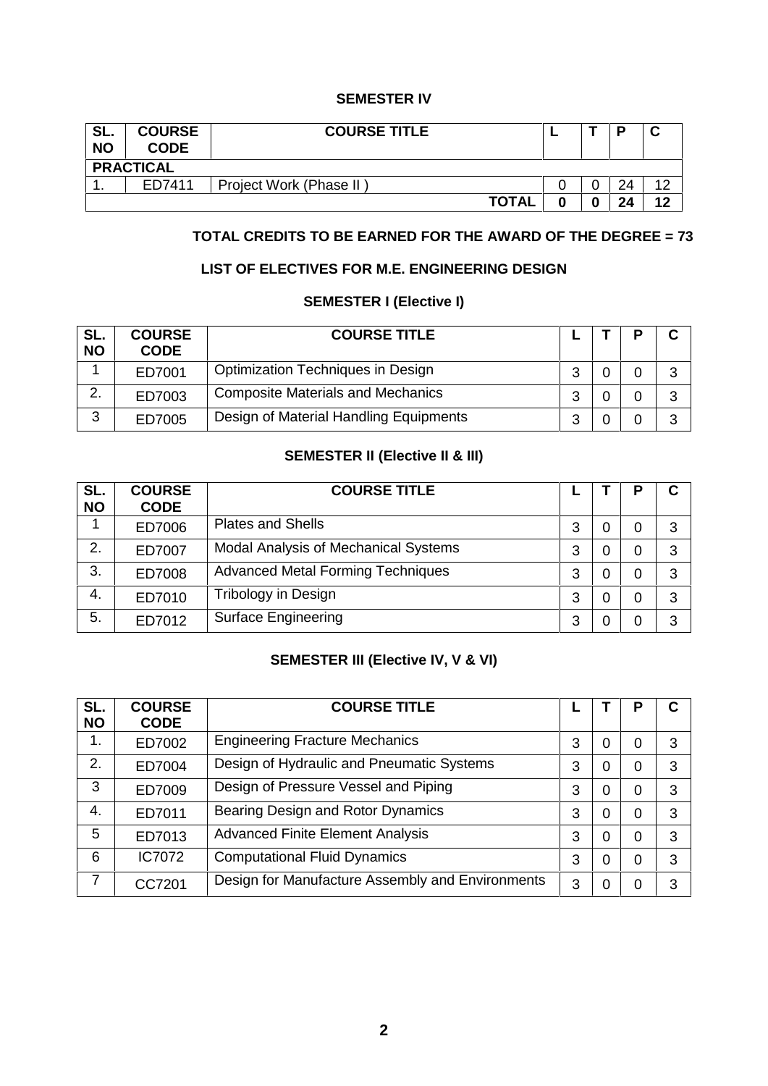# **SEMESTER IV**

| SL.<br><b>NO</b> | <b>COURSE</b><br><b>CODE</b>      | <b>COURSE TITLE</b> |  |  | Ð  | $\overline{\phantom{a}}$<br>u |  |  |
|------------------|-----------------------------------|---------------------|--|--|----|-------------------------------|--|--|
|                  | <b>PRACTICAL</b>                  |                     |  |  |    |                               |  |  |
| . .              | Project Work (Phase II)<br>ED7411 |                     |  |  | 24 | ィつ                            |  |  |
|                  |                                   | <b>TOTAL</b>        |  |  | 24 | 12                            |  |  |

# **TOTAL CREDITS TO BE EARNED FOR THE AWARD OF THE DEGREE = 73**

# **LIST OF ELECTIVES FOR M.E. ENGINEERING DESIGN**

#### **SEMESTER I (Elective I)**

| SL.<br><b>NO</b> | <b>COURSE</b><br><b>CODE</b> | <b>COURSE TITLE</b>                      |   | D | Ĉ<br>u |
|------------------|------------------------------|------------------------------------------|---|---|--------|
|                  | ED7001                       | <b>Optimization Techniques in Design</b> | ົ |   | າ      |
| っ                | ED7003                       | <b>Composite Materials and Mechanics</b> | ◠ |   | າ      |
| ◠                | ED7005                       | Design of Material Handling Equipments   | ◠ |   | 3      |

# **SEMESTER II (Elective II & III)**

| SL.<br><b>NO</b> | <b>COURSE</b><br><b>CODE</b> | <b>COURSE TITLE</b>                      |   |   | D | C |
|------------------|------------------------------|------------------------------------------|---|---|---|---|
|                  | ED7006                       | <b>Plates and Shells</b>                 | 3 | 0 | 0 | 3 |
| 2.               | ED7007                       | Modal Analysis of Mechanical Systems     | 3 | 0 | 0 | 3 |
| 3.               | ED7008                       | <b>Advanced Metal Forming Techniques</b> | 3 | 0 | 0 | 3 |
| 4.               | ED7010                       | Tribology in Design                      | 3 | 0 | 0 | 3 |
| 5.               | ED7012                       | <b>Surface Engineering</b>               | 3 | 0 | 0 | 3 |

# **SEMESTER III (Elective IV, V & VI)**

| SL.<br><b>NO</b> | <b>COURSE</b><br><b>CODE</b> | <b>COURSE TITLE</b>                              |   |   | Р | С |
|------------------|------------------------------|--------------------------------------------------|---|---|---|---|
| 1.               | ED7002                       | <b>Engineering Fracture Mechanics</b>            | 3 | 0 | 0 | 3 |
| 2.               | ED7004                       | Design of Hydraulic and Pneumatic Systems        | 3 | 0 | 0 | 3 |
| 3                | ED7009                       | Design of Pressure Vessel and Piping             | 3 | 0 | 0 | 3 |
| 4.               | ED7011                       | Bearing Design and Rotor Dynamics                |   | 0 | 0 | 3 |
| 5                | ED7013                       | <b>Advanced Finite Element Analysis</b>          | 3 | 0 | 0 | 3 |
| 6                | <b>IC7072</b>                | <b>Computational Fluid Dynamics</b>              | 3 | 0 | 0 | 3 |
| 7                | CC7201                       | Design for Manufacture Assembly and Environments |   | 0 | 0 | 3 |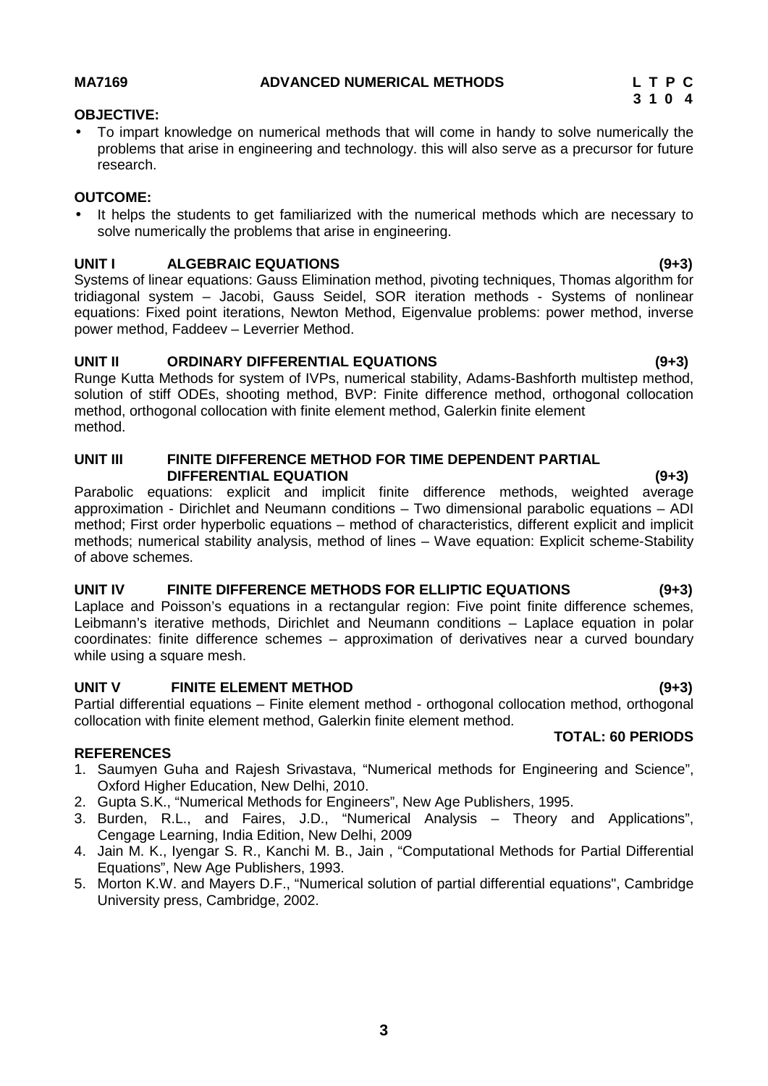# **3 1 0 4**

## **OBJECTIVE:**

 To impart knowledge on numerical methods that will come in handy to solve numerically the problems that arise in engineering and technology. this will also serve as a precursor for future research.

### **OUTCOME:**

 It helps the students to get familiarized with the numerical methods which are necessary to solve numerically the problems that arise in engineering.

# **UNIT I ALGEBRAIC EQUATIONS (9+3)**

Systems of linear equations: Gauss Elimination method, pivoting techniques, Thomas algorithm for tridiagonal system – Jacobi, Gauss Seidel, SOR iteration methods - Systems of nonlinear equations: Fixed point iterations, Newton Method, Eigenvalue problems: power method, inverse power method, Faddeev – Leverrier Method.

# **UNIT II ORDINARY DIFFERENTIAL EQUATIONS (9+3)**

Runge Kutta Methods for system of IVPs, numerical stability, Adams-Bashforth multistep method, solution of stiff ODEs, shooting method, BVP: Finite difference method, orthogonal collocation method, orthogonal collocation with finite element method, Galerkin finite element method.

#### **UNIT III FINITE DIFFERENCE METHOD FOR TIME DEPENDENT PARTIAL DIFFERENTIAL EQUATION (9+3)**

Parabolic equations: explicit and implicit finite difference methods, weighted average approximation - Dirichlet and Neumann conditions – Two dimensional parabolic equations – ADI method; First order hyperbolic equations – method of characteristics, different explicit and implicit methods; numerical stability analysis, method of lines – Wave equation: Explicit scheme-Stability of above schemes.

# **UNIT IV FINITE DIFFERENCE METHODS FOR ELLIPTIC EQUATIONS (9+3)**

Laplace and Poisson's equations in a rectangular region: Five point finite difference schemes, Leibmann's iterative methods, Dirichlet and Neumann conditions – Laplace equation in polar coordinates: finite difference schemes – approximation of derivatives near a curved boundary while using a square mesh.

# **UNIT V FINITE ELEMENT METHOD (9+3)**

Partial differential equations – Finite element method - orthogonal collocation method, orthogonal collocation with finite element method, Galerkin finite element method.

# **REFERENCES**

- 1. Saumyen Guha and Rajesh Srivastava, "Numerical methods for Engineering and Science", Oxford Higher Education, New Delhi, 2010.
- 2. Gupta S.K., "Numerical Methods for Engineers", New Age Publishers, 1995.
- 3. Burden, R.L., and Faires, J.D., "Numerical Analysis Theory and Applications", Cengage Learning, India Edition, New Delhi, 2009
- 4. Jain M. K., Iyengar S. R., Kanchi M. B., Jain , "Computational Methods for Partial Differential Equations", New Age Publishers, 1993.
- 5. Morton K.W. and Mayers D.F., "Numerical solution of partial differential equations", Cambridge University press, Cambridge, 2002.

**TOTAL: 60 PERIODS**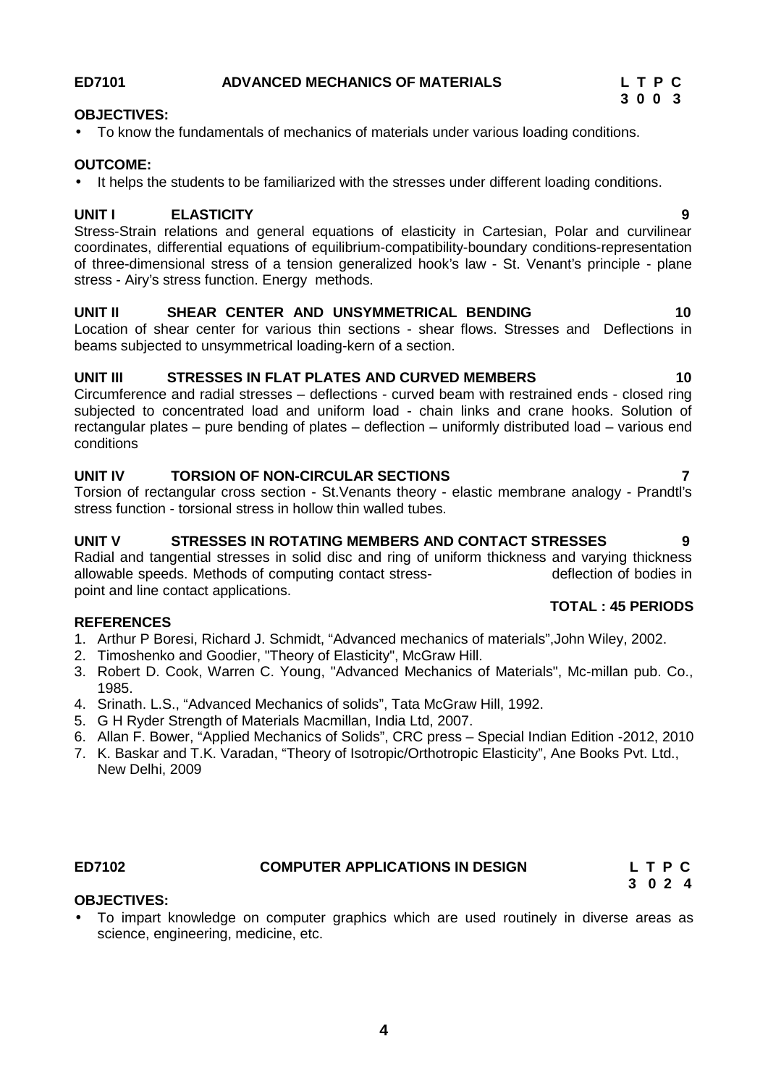# **ED7101 ADVANCED MECHANICS OF MATERIALS L T P C**

# **OBJECTIVES:**

To know the fundamentals of mechanics of materials under various loading conditions.

# **OUTCOME:**

• It helps the students to be familiarized with the stresses under different loading conditions.

# **UNIT I ELASTICITY 9**

Stress-Strain relations and general equations of elasticity in Cartesian, Polar and curvilinear coordinates, differential equations of equilibrium-compatibility-boundary conditions-representation of three-dimensional stress of a tension generalized hook's law - St. Venant's principle - plane stress - Airy's stress function. Energy methods.

# **UNIT II SHEAR CENTER AND UNSYMMETRICAL BENDING 10**

Location of shear center for various thin sections - shear flows. Stresses and Deflections in beams subjected to unsymmetrical loading-kern of a section.

# **UNIT III STRESSES IN FLAT PLATES AND CURVED MEMBERS 10**

Circumference and radial stresses – deflections - curved beam with restrained ends - closed ring subjected to concentrated load and uniform load - chain links and crane hooks. Solution of rectangular plates – pure bending of plates – deflection – uniformly distributed load – various end conditions

# **UNIT IV TORSION OF NON-CIRCULAR SECTIONS 7**

Torsion of rectangular cross section - St.Venants theory - elastic membrane analogy - Prandtl's stress function - torsional stress in hollow thin walled tubes.

# **UNIT V STRESSES IN ROTATING MEMBERS AND CONTACT STRESSES 9**

Radial and tangential stresses in solid disc and ring of uniform thickness and varying thickness<br>allowable speeds. Methods of computing contact stress-<br>deflection of bodies in allowable speeds. Methods of computing contact stresspoint and line contact applications.

# **REFERENCES**

- 1. Arthur P Boresi, Richard J. Schmidt, "Advanced mechanics of materials",John Wiley, 2002.
- 2. Timoshenko and Goodier, "Theory of Elasticity", McGraw Hill.
- 3. Robert D. Cook, Warren C. Young, "Advanced Mechanics of Materials", Mc-millan pub. Co., 1985.
- 4. Srinath. L.S., "Advanced Mechanics of solids", Tata McGraw Hill, 1992.
- 5. G H Ryder Strength of Materials Macmillan, India Ltd, 2007.
- 6. Allan F. Bower, "Applied Mechanics of Solids", CRC press Special Indian Edition -2012, 2010
- 7. K. Baskar and T.K. Varadan, "Theory of Isotropic/Orthotropic Elasticity", Ane Books Pvt. Ltd., New Delhi, 2009

# **ED7102 COMPUTER APPLICATIONS IN DESIGN L T P C**

# **OBJECTIVES:**

 To impart knowledge on computer graphics which are used routinely in diverse areas as science, engineering, medicine, etc.

**TOTAL : 45 PERIODS**

**3 0 2 4**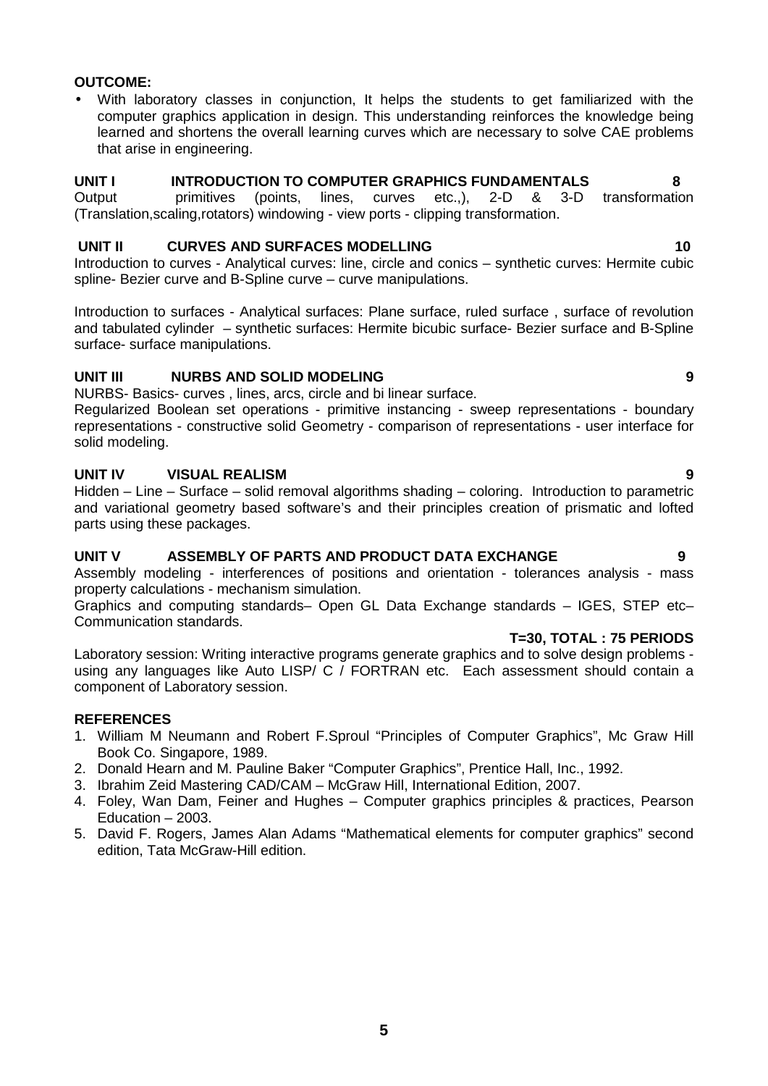# **OUTCOME:**

 With laboratory classes in conjunction, It helps the students to get familiarized with the computer graphics application in design. This understanding reinforces the knowledge being learned and shortens the overall learning curves which are necessary to solve CAE problems that arise in engineering.

#### **UNIT I INTRODUCTION TO COMPUTER GRAPHICS FUNDAMENTALS 8**

Output primitives (points, lines, curves etc.,), 2-D & 3-D transformation (Translation,scaling,rotators) windowing - view ports - clipping transformation.

### **UNIT II CURVES AND SURFACES MODELLING 10**

Introduction to curves - Analytical curves: line, circle and conics – synthetic curves: Hermite cubic spline- Bezier curve and B-Spline curve – curve manipulations.

Introduction to surfaces - Analytical surfaces: Plane surface, ruled surface , surface of revolution and tabulated cylinder – synthetic surfaces: Hermite bicubic surface- Bezier surface and B-Spline surface- surface manipulations.

# **UNIT III NURBS AND SOLID MODELING 9**

NURBS- Basics- curves , lines, arcs, circle and bi linear surface.

Regularized Boolean set operations - primitive instancing - sweep representations - boundary representations - constructive solid Geometry - comparison of representations - user interface for solid modeling.

#### **UNIT IV VISUAL REALISM 9**

Hidden – Line – Surface – solid removal algorithms shading – coloring. Introduction to parametric and variational geometry based software's and their principles creation of prismatic and lofted parts using these packages.

# **UNIT V ASSEMBLY OF PARTS AND PRODUCT DATA EXCHANGE 9**

Assembly modeling - interferences of positions and orientation - tolerances analysis - mass property calculations - mechanism simulation.

Graphics and computing standards– Open GL Data Exchange standards – IGES, STEP etc– Communication standards.

#### **T=30, TOTAL : 75 PERIODS**

Laboratory session: Writing interactive programs generate graphics and to solve design problems using any languages like Auto LISP/ C / FORTRAN etc. Each assessment should contain a component of Laboratory session.

#### **REFERENCES**

- 1. William M Neumann and Robert F.Sproul "Principles of Computer Graphics", Mc Graw Hill Book Co. Singapore, 1989.
- 2. Donald Hearn and M. Pauline Baker "Computer Graphics", Prentice Hall, Inc., 1992.
- 3. Ibrahim Zeid Mastering CAD/CAM McGraw Hill, International Edition, 2007.
- 4. Foley, Wan Dam, Feiner and Hughes Computer graphics principles & practices, Pearson Education – 2003.
- 5. David F. Rogers, James Alan Adams "Mathematical elements for computer graphics" second edition, Tata McGraw-Hill edition.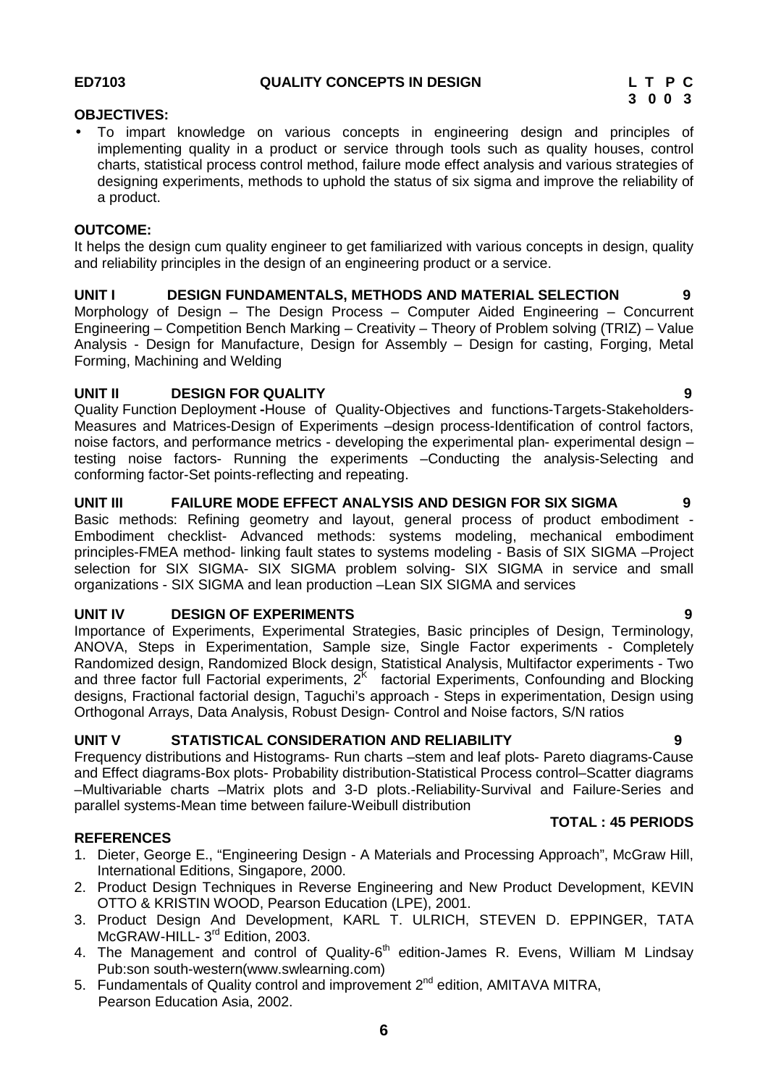#### **OBJECTIVES:**

 To impart knowledge on various concepts in engineering design and principles of implementing quality in a product or service through tools such as quality houses, control charts, statistical process control method, failure mode effect analysis and various strategies of designing experiments, methods to uphold the status of six sigma and improve the reliability of a product.

#### **OUTCOME:**

It helps the design cum quality engineer to get familiarized with various concepts in design, quality and reliability principles in the design of an engineering product or a service.

**UNIT I DESIGN FUNDAMENTALS, METHODS AND MATERIAL SELECTION 9** Morphology of Design – The Design Process – Computer Aided Engineering – Concurrent Engineering – Competition Bench Marking – Creativity – Theory of Problem solving (TRIZ) – Value Analysis - Design for Manufacture, Design for Assembly – Design for casting, Forging, Metal Forming, Machining and Welding

# **UNIT II DESIGN FOR QUALITY 9**

Quality Function Deployment **-**House of Quality-Objectives and functions-Targets-Stakeholders- Measures and Matrices-Design of Experiments –design process-Identification of control factors, noise factors, and performance metrics - developing the experimental plan- experimental design – testing noise factors- Running the experiments –Conducting the analysis-Selecting and conforming factor-Set points-reflecting and repeating.

#### **UNIT III FAILURE MODE EFFECT ANALYSIS AND DESIGN FOR SIX SIGMA 9**

Basic methods: Refining geometry and layout, general process of product embodiment - Embodiment checklist- Advanced methods: systems modeling, mechanical embodiment principles-FMEA method- linking fault states to systems modeling - Basis of SIX SIGMA –Project selection for SIX SIGMA- SIX SIGMA problem solving- SIX SIGMA in service and small organizations - SIX SIGMA and lean production –Lean SIX SIGMA and services

# **UNIT IV DESIGN OF EXPERIMENTS 9**

Importance of Experiments, Experimental Strategies, Basic principles of Design, Terminology, ANOVA, Steps in Experimentation, Sample size, Single Factor experiments - Completely Randomized design, Randomized Block design, Statistical Analysis, Multifactor experiments - Two and three factor full Factorial experiments,  $2<sup>K</sup>$  factorial Experiments, Confounding and Blocking designs, Fractional factorial design, Taguchi's approach - Steps in experimentation, Design using Orthogonal Arrays, Data Analysis, Robust Design- Control and Noise factors, S/N ratios

# **UNIT V STATISTICAL CONSIDERATION AND RELIABILITY 9**

Frequency distributions and Histograms- Run charts –stem and leaf plots- Pareto diagrams-Cause and Effect diagrams-Box plots- Probability distribution-Statistical Process control–Scatter diagrams –Multivariable charts –Matrix plots and 3-D plots.-Reliability-Survival and Failure-Series and parallel systems-Mean time between failure-Weibull distribution

#### **REFERENCES**

- 1. Dieter, George E., "Engineering Design A Materials and Processing Approach", McGraw Hill, International Editions, Singapore, 2000.
- 2. Product Design Techniques in Reverse Engineering and New Product Development, KEVIN OTTO & KRISTIN WOOD, Pearson Education (LPE), 2001.
- 3. Product Design And Development, KARL T. ULRICH, STEVEN D. EPPINGER, TATA McGRAW-HILL- 3<sup>rd</sup> Edition, 2003.
- 4. The Management and control of Quality-6<sup>th</sup> edition-James R. Evens, William M Lindsay Pub:son south-western(www.swlearning.com)
- 5. Fundamentals of Quality control and improvement  $2^{nd}$  edition, AMITAVA MITRA, Pearson Education Asia, 2002.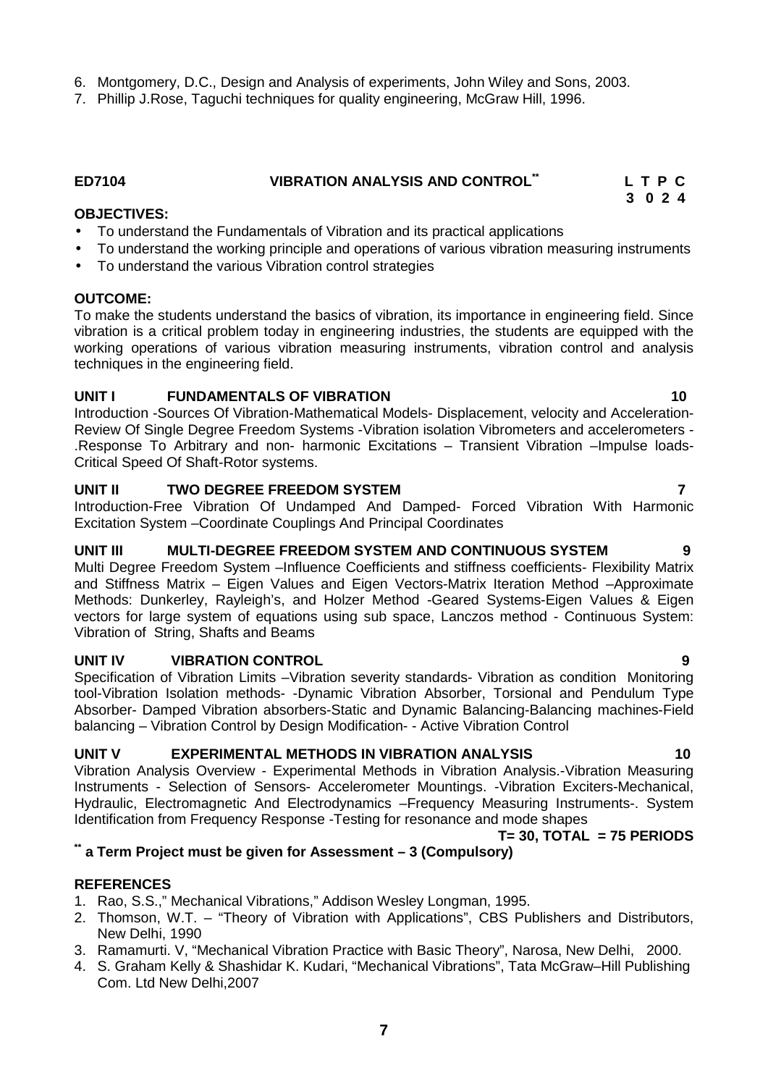**7**

- 6. Montgomery, D.C., Design and Analysis of experiments, John Wiley and Sons, 2003.
- 7. Phillip J.Rose, Taguchi techniques for quality engineering, McGraw Hill, 1996.

**OBJECTIVES:**

- To understand the Fundamentals of Vibration and its practical applications
- To understand the working principle and operations of various vibration measuring instruments
- To understand the various Vibration control strategies

# **OUTCOME:**

To make the students understand the basics of vibration, its importance in engineering field. Since vibration is a critical problem today in engineering industries, the students are equipped with the working operations of various vibration measuring instruments, vibration control and analysis techniques in the engineering field.

# **UNIT I FUNDAMENTALS OF VIBRATION 10**

Introduction -Sources Of Vibration-Mathematical Models- Displacement, velocity and Acceleration- Review Of Single Degree Freedom Systems -Vibration isolation Vibrometers and accelerometers - .Response To Arbitrary and non- harmonic Excitations – Transient Vibration –Impulse loads- Critical Speed Of Shaft-Rotor systems.

# **UNIT II TWO DEGREE FREEDOM SYSTEM 7**

Introduction-Free Vibration Of Undamped And Damped- Forced Vibration With Harmonic Excitation System –Coordinate Couplings And Principal Coordinates

# **UNIT III MULTI-DEGREE FREEDOM SYSTEM AND CONTINUOUS SYSTEM 9**

Multi Degree Freedom System -Influence Coefficients and stiffness coefficients- Flexibility Matrix and Stiffness Matrix – Eigen Values and Eigen Vectors-Matrix Iteration Method –Approximate Methods: Dunkerley, Rayleigh's, and Holzer Method -Geared Systems-Eigen Values & Eigen vectors for large system of equations using sub space, Lanczos method - Continuous System: Vibration of String, Shafts and Beams

# **UNIT IV VIBRATION CONTROL 9**

Specification of Vibration Limits –Vibration severity standards- Vibration as condition Monitoring tool-Vibration Isolation methods- -Dynamic Vibration Absorber, Torsional and Pendulum Type Absorber- Damped Vibration absorbers-Static and Dynamic Balancing-Balancing machines-Field balancing – Vibration Control by Design Modification- - Active Vibration Control

# **UNIT V EXPERIMENTAL METHODS IN VIBRATION ANALYSIS 10**

Vibration Analysis Overview - Experimental Methods in Vibration Analysis.-Vibration Measuring Instruments - Selection of Sensors- Accelerometer Mountings. -Vibration Exciters-Mechanical, Hydraulic, Electromagnetic And Electrodynamics –Frequency Measuring Instruments-. System Identification from Frequency Response -Testing for resonance and mode shapes

# **T= 30, TOTAL = 75 PERIODS**

# **\*\* a Term Project must be given for Assessment – 3 (Compulsory)**

# **REFERENCES**

- 1. Rao, S.S.," Mechanical Vibrations," Addison Wesley Longman, 1995.
- 2. Thomson, W.T. "Theory of Vibration with Applications", CBS Publishers and Distributors, New Delhi, 1990
- 3. Ramamurti. V, "Mechanical Vibration Practice with Basic Theory", Narosa, New Delhi, 2000.
- 4. S. Graham Kelly & Shashidar K. Kudari, "Mechanical Vibrations", Tata McGraw–Hill Publishing Com. Ltd New Delhi,2007

# **ED7104 VIBRATION ANALYSIS AND CONTROL\*\* L T P C 3 0 2 4**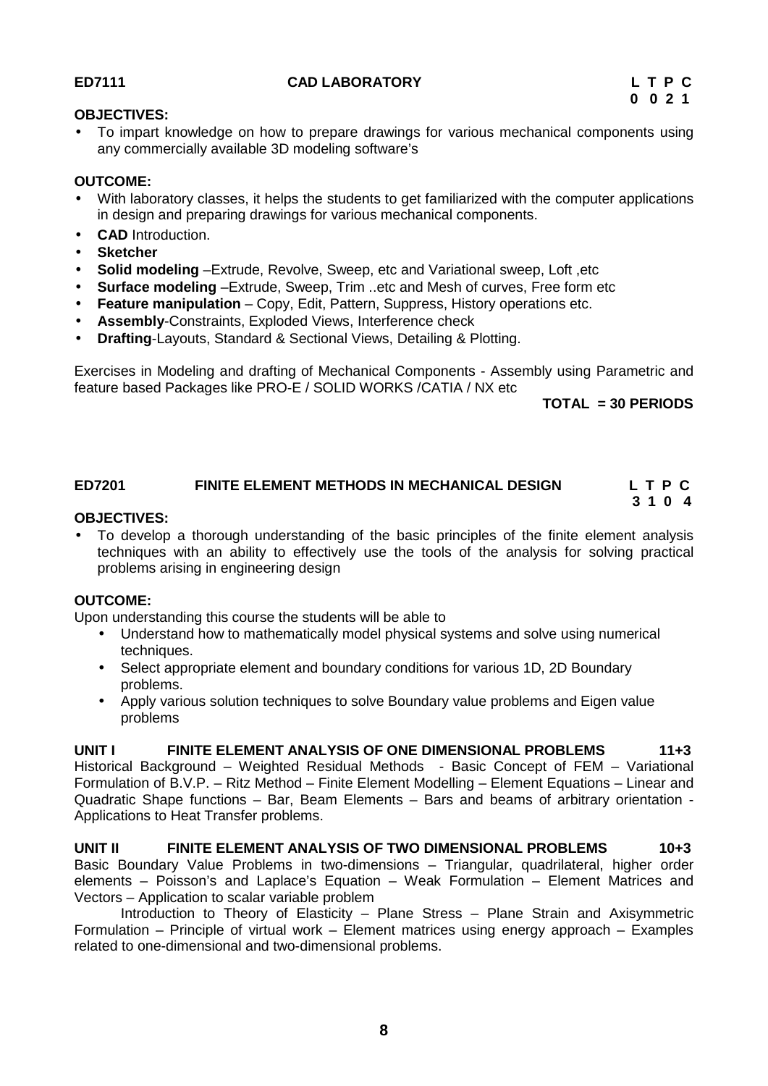# **ED7111 CAD LABORATORY L T P C**

## **OBJECTIVES:**

 To impart knowledge on how to prepare drawings for various mechanical components using any commercially available 3D modeling software's

# **OUTCOME:**

- With laboratory classes, it helps the students to get familiarized with the computer applications in design and preparing drawings for various mechanical components.
- **CAD** Introduction.
- **Sketcher**
- **Solid modeling** –Extrude, Revolve, Sweep, etc and Variational sweep, Loft ,etc
- **Surface modeling** –Extrude, Sweep, Trim ..etc and Mesh of curves, Free form etc
- **Feature manipulation** Copy, Edit, Pattern, Suppress, History operations etc.
- **Assembly**-Constraints, Exploded Views, Interference check
- **Drafting**-Layouts, Standard & Sectional Views, Detailing & Plotting.

Exercises in Modeling and drafting of Mechanical Components - Assembly using Parametric and feature based Packages like PRO-E / SOLID WORKS /CATIA / NX etc

**TOTAL = 30 PERIODS**

#### **ED7201 FINITE ELEMENT METHODS IN MECHANICAL DESIGN L T P C 3 1 0 4**

#### **OBJECTIVES:**

 To develop a thorough understanding of the basic principles of the finite element analysis techniques with an ability to effectively use the tools of the analysis for solving practical problems arising in engineering design

# **OUTCOME:**

Upon understanding this course the students will be able to

- Understand how to mathematically model physical systems and solve using numerical techniques.
- Select appropriate element and boundary conditions for various 1D, 2D Boundary problems.
- Apply various solution techniques to solve Boundary value problems and Eigen value problems

**UNIT I FINITE ELEMENT ANALYSIS OF ONE DIMENSIONAL PROBLEMS 11+3** Historical Background – Weighted Residual Methods - Basic Concept of FEM – Variational Formulation of B.V.P. – Ritz Method – Finite Element Modelling – Element Equations – Linear and Quadratic Shape functions – Bar, Beam Elements – Bars and beams of arbitrary orientation - Applications to Heat Transfer problems.

**UNIT II FINITE ELEMENT ANALYSIS OF TWO DIMENSIONAL PROBLEMS 10+3** Basic Boundary Value Problems in two-dimensions – Triangular, quadrilateral, higher order elements – Poisson's and Laplace's Equation – Weak Formulation – Element Matrices and Vectors – Application to scalar variable problem

Introduction to Theory of Elasticity – Plane Stress – Plane Strain and Axisymmetric Formulation – Principle of virtual work – Element matrices using energy approach – Examples related to one-dimensional and two-dimensional problems.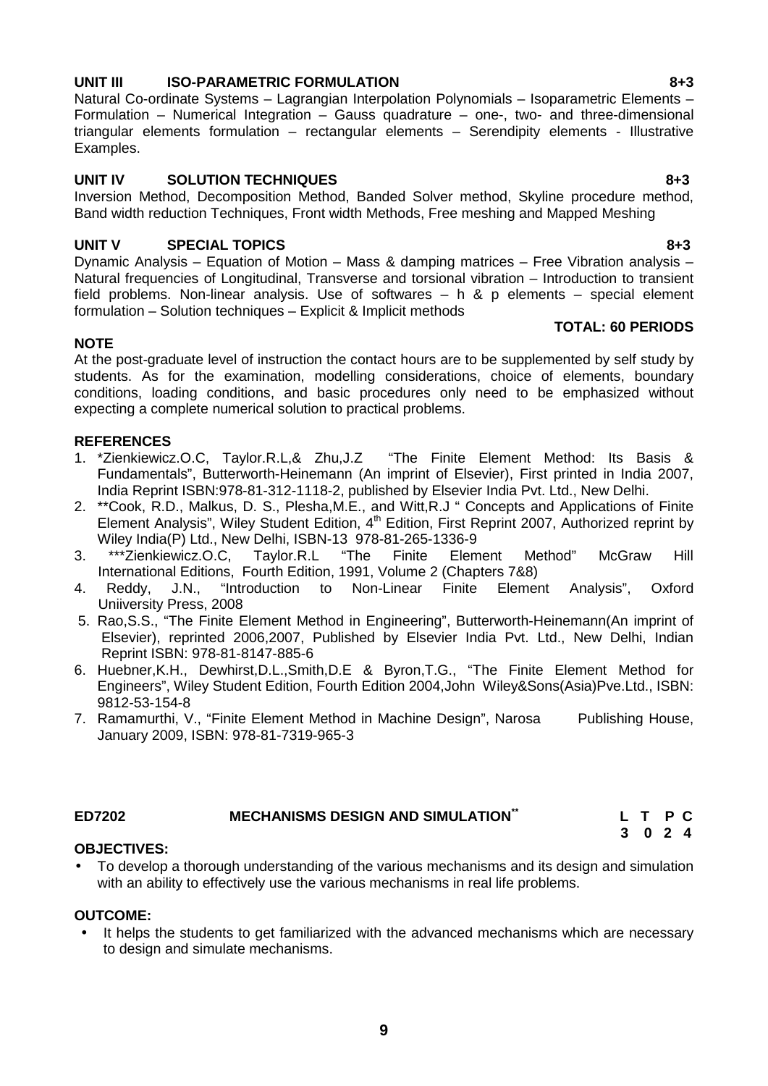# **9**

# **UNIT III ISO-PARAMETRIC FORMULATION 8+3**

Natural Co-ordinate Systems – Lagrangian Interpolation Polynomials – Isoparametric Elements – Formulation – Numerical Integration – Gauss quadrature – one-, two- and three-dimensional triangular elements formulation – rectangular elements – Serendipity elements - Illustrative Examples.

# **UNIT IV SOLUTION TECHNIQUES 8+3**

Inversion Method, Decomposition Method, Banded Solver method, Skyline procedure method, Band width reduction Techniques, Front width Methods, Free meshing and Mapped Meshing

# **UNIT V SPECIAL TOPICS 8+3**

Dynamic Analysis – Equation of Motion – Mass & damping matrices – Free Vibration analysis – Natural frequencies of Longitudinal, Transverse and torsional vibration – Introduction to transient field problems. Non-linear analysis. Use of softwares – h & p elements – special element formulation – Solution techniques – Explicit & Implicit methods

# **NOTE**

At the post-graduate level of instruction the contact hours are to be supplemented by self study by students. As for the examination, modelling considerations, choice of elements, boundary conditions, loading conditions, and basic procedures only need to be emphasized without expecting a complete numerical solution to practical problems.

- REFERENCES<br>1. \*Zienkiewicz.O.C, Taylor.R.L,& Zhu,J.Z "The Finite Element Method: Its Basis & Fundamentals", Butterworth-Heinemann (An imprint of Elsevier), First printed in India 2007, India Reprint ISBN:978-81-312-1118-2, published by Elsevier India Pvt. Ltd., New Delhi.
- 2. \*\*Cook, R.D., Malkus, D. S., Plesha,M.E., and Witt,R.J " Concepts and Applications of Finite Element Analysis", Wiley Student Edition, 4<sup>th</sup> Edition, First Reprint 2007, Authorized reprint by Wiley India(P) Ltd., New Delhi, ISBN-13 978-81-265-1336-9
- 3. \*\*\*Zienkiewicz.O.C, Taylor.R.L "The Finite Element Method" McGraw Hill International Editions, Fourth Edition, 1991, Volume 2 (Chapters 7&8)
- 4. Reddy, J.N., "Introduction to Non-Linear Finite Element Analysis", Oxford Uniiversity Press, 2008
- 5. Rao,S.S., "The Finite Element Method in Engineering", Butterworth-Heinemann(An imprint of Elsevier), reprinted 2006,2007, Published by Elsevier India Pvt. Ltd., New Delhi, Indian Reprint ISBN: 978-81-8147-885-6
- 6. Huebner,K.H., Dewhirst,D.L.,Smith,D.E & Byron,T.G., "The Finite Element Method for Engineers", Wiley Student Edition, Fourth Edition 2004,John Wiley&Sons(Asia)Pve.Ltd., ISBN: 9812-53-154-8
- 7. Ramamurthi, V., "Finite Element Method in Machine Design", Narosa Publishing House, January 2009, ISBN: 978-81-7319-965-3

# **ED7202 MECHANISMS DESIGN AND SIMULATION**<sup>\*\*</sup>

# **OBJECTIVES:**

 To develop a thorough understanding of the various mechanisms and its design and simulation with an ability to effectively use the various mechanisms in real life problems.

# **OUTCOME:**

 It helps the students to get familiarized with the advanced mechanisms which are necessary to design and simulate mechanisms.

**TOTAL: 60 PERIODS**

| L T P C |  |  |
|---------|--|--|
| 3024    |  |  |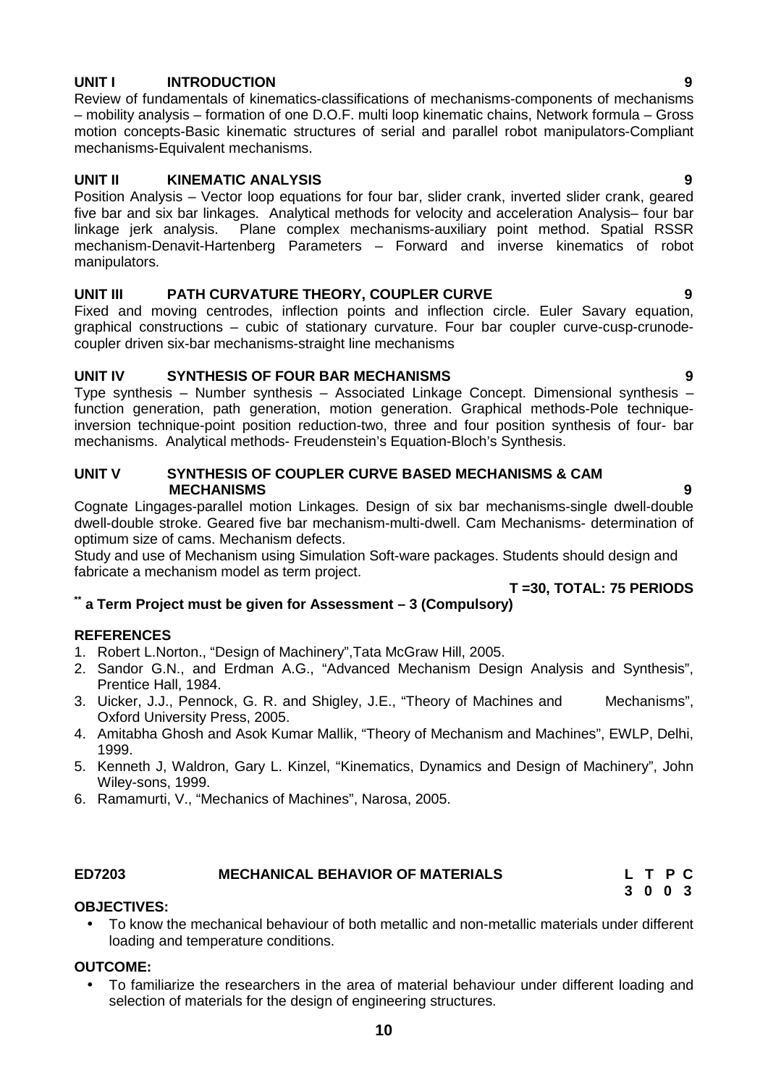# **UNIT I INTRODUCTION 9**

Review of fundamentals of kinematics-classifications of mechanisms-components of mechanisms – mobility analysis – formation of one D.O.F. multi loop kinematic chains, Network formula – Gross motion concepts-Basic kinematic structures of serial and parallel robot manipulators-Compliant mechanisms-Equivalent mechanisms.

# **UNIT II KINEMATIC ANALYSIS 9**

Position Analysis – Vector loop equations for four bar, slider crank, inverted slider crank, geared five bar and six bar linkages. Analytical methods for velocity and acceleration Analysis– four bar linkage jerk analysis. Plane complex mechanisms-auxiliary point method. Spatial RSSR mechanism-Denavit-Hartenberg Parameters – Forward and inverse kinematics of robot manipulators.

# **UNIT III PATH CURVATURE THEORY, COUPLER CURVE 9**

Fixed and moving centrodes, inflection points and inflection circle. Euler Savary equation, graphical constructions – cubic of stationary curvature. Four bar coupler curve-cusp-crunode coupler driven six-bar mechanisms-straight line mechanisms

# **UNIT IV SYNTHESIS OF FOUR BAR MECHANISMS 9**

Type synthesis – Number synthesis – Associated Linkage Concept. Dimensional synthesis – function generation, path generation, motion generation. Graphical methods-Pole techniqueinversion technique-point position reduction-two, three and four position synthesis of four- bar mechanisms. Analytical methods- Freudenstein's Equation-Bloch's Synthesis.

#### **UNIT V SYNTHESIS OF COUPLER CURVE BASED MECHANISMS & CAM MECHANISMS 9**

Cognate Lingages-parallel motion Linkages. Design of six bar mechanisms-single dwell-double dwell-double stroke. Geared five bar mechanism-multi-dwell. Cam Mechanisms- determination of optimum size of cams. Mechanism defects.

Study and use of Mechanism using Simulation Soft-ware packages. Students should design and fabricate a mechanism model as term project.

# **\*\* a Term Project must be given for Assessment – 3 (Compulsory)**

# **REFERENCES**

- 1. Robert L.Norton., "Design of Machinery",Tata McGraw Hill, 2005.
- 2. Sandor G.N., and Erdman A.G., "Advanced Mechanism Design Analysis and Synthesis", Prentice Hall, 1984.
- 3. Uicker, J.J., Pennock, G. R. and Shigley, J.E., "Theory of Machines and Mechanisms", Oxford University Press, 2005.
- 4. Amitabha Ghosh and Asok Kumar Mallik, "Theory of Mechanism and Machines", EWLP, Delhi, 1999.
- 5. Kenneth J, Waldron, Gary L. Kinzel, "Kinematics, Dynamics and Design of Machinery", John Wiley-sons, 1999.
- 6. Ramamurti, V., "Mechanics of Machines", Narosa, 2005.

# **ED7203 MECHANICAL BEHAVIOR OF MATERIALS L T P C**

# **OBJECTIVES:**

 To know the mechanical behaviour of both metallic and non-metallic materials under different loading and temperature conditions.

# **OUTCOME:**

 To familiarize the researchers in the area of material behaviour under different loading and selection of materials for the design of engineering structures.

**T =30, TOTAL: 75 PERIODS**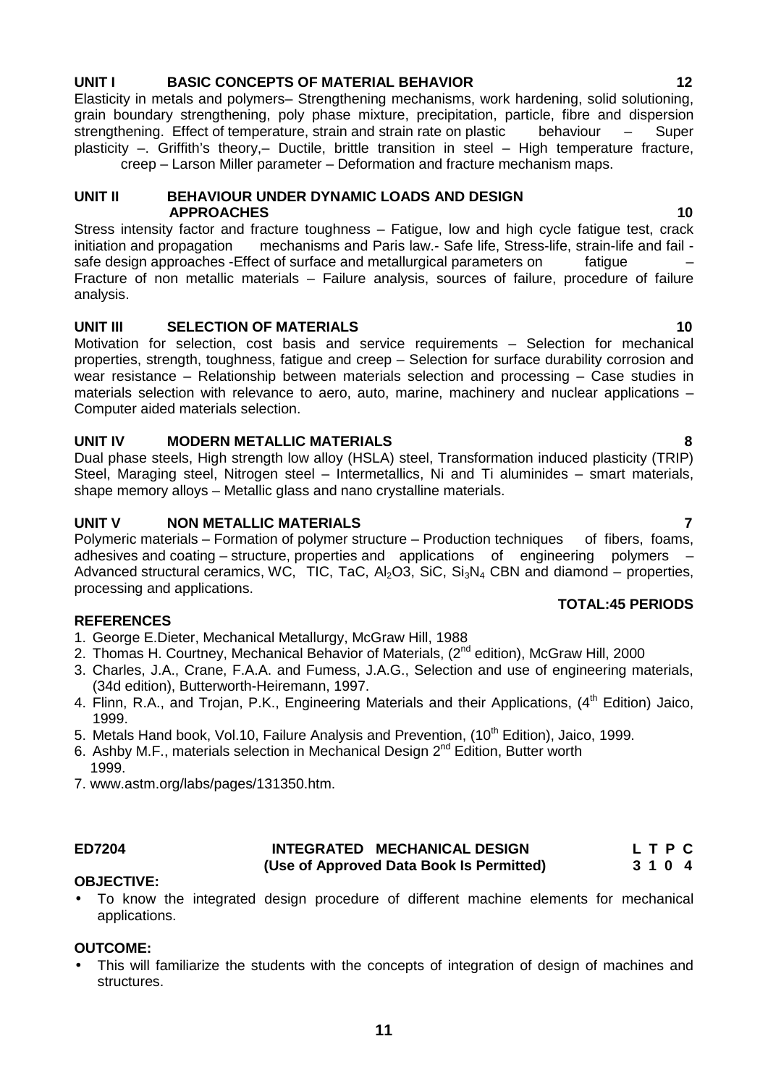Dual phase steels, High strength low alloy (HSLA) steel, Transformation induced plasticity (TRIP) Steel, Maraging steel, Nitrogen steel – Intermetallics, Ni and Ti aluminides – smart materials, shape memory alloys – Metallic glass and nano crystalline materials.

#### **UNIT V NON METALLIC MATERIALS 7**

Polymeric materials – Formation of polymer structure – Production techniques of fibers, foams, adhesives and coating – structure, properties and applications of engineering polymers – Advanced structural ceramics, WC, TIC, TaC, Al<sub>2</sub>O3, SiC, Si<sub>3</sub>N<sub>4</sub> CBN and diamond – properties, processing and applications.

#### **REFERENCES**

- 1. George E.Dieter, Mechanical Metallurgy, McGraw Hill, 1988
- 2. Thomas H. Courtney, Mechanical Behavior of Materials, (2<sup>nd</sup> edition), McGraw Hill, 2000
- 3. Charles, J.A., Crane, F.A.A. and Fumess, J.A.G., Selection and use of engineering materials, (34d edition), Butterworth-Heiremann, 1997.
- 4. Flinn, R.A., and Troian, P.K., Engineering Materials and their Applications, (4<sup>th</sup> Edition) Jaico, 1999.
- 5. Metals Hand book, Vol.10, Failure Analysis and Prevention, (10<sup>th</sup> Edition), Jaico, 1999.
- 6. Ashby M.F., materials selection in Mechanical Design  $2^{nd}$  Edition, Butter worth 1999.
- 7. www.astm.org/labs/pages/131350.htm.

# **ED7204 INTEGRATED MECHANICAL DESIGN L T P C (Use of Approved Data Book Is Permitted) 3 1 0 4**

#### **OBJECTIVE:**

 To know the integrated design procedure of different machine elements for mechanical applications.

#### **OUTCOME:**

 This will familiarize the students with the concepts of integration of design of machines and structures.

### **UNIT I BASIC CONCEPTS OF MATERIAL BEHAVIOR 12**

Elasticity in metals and polymers– Strengthening mechanisms, work hardening, solid solutioning, grain boundary strengthening, poly phase mixture, precipitation, particle, fibre and dispersion strengthening. Effect of temperature, strain and strain rate on plastic behaviour – Super plasticity –. Griffith's theory,– Ductile, brittle transition in steel – High temperature fracture,

creep – Larson Miller parameter – Deformation and fracture mechanism maps.

#### **UNIT II BEHAVIOUR UNDER DYNAMIC LOADS AND DESIGN APPROACHES 10**

Stress intensity factor and fracture toughness – Fatigue, low and high cycle fatigue test, crack<br>initiation and propagation mechanisms and Paris law.- Safe life, Stress-life, strain-life and fail mechanisms and Paris law.- Safe life, Stress-life, strain-life and fail safe design approaches -Effect of surface and metallurgical parameters on fatigue – Fracture of non metallic materials – Failure analysis, sources of failure, procedure of failure analysis.

#### **UNIT III SELECTION OF MATERIALS 10**

properties, strength, toughness, fatigue and creep – Selection for surface durability corrosion and wear resistance – Relationship between materials selection and processing – Case studies in materials selection with relevance to aero, auto, marine, machinery and nuclear applications – Computer aided materials selection.

Motivation for selection, cost basis and service requirements – Selection for mechanical

# **UNIT IV MODERN METALLIC MATERIALS 8**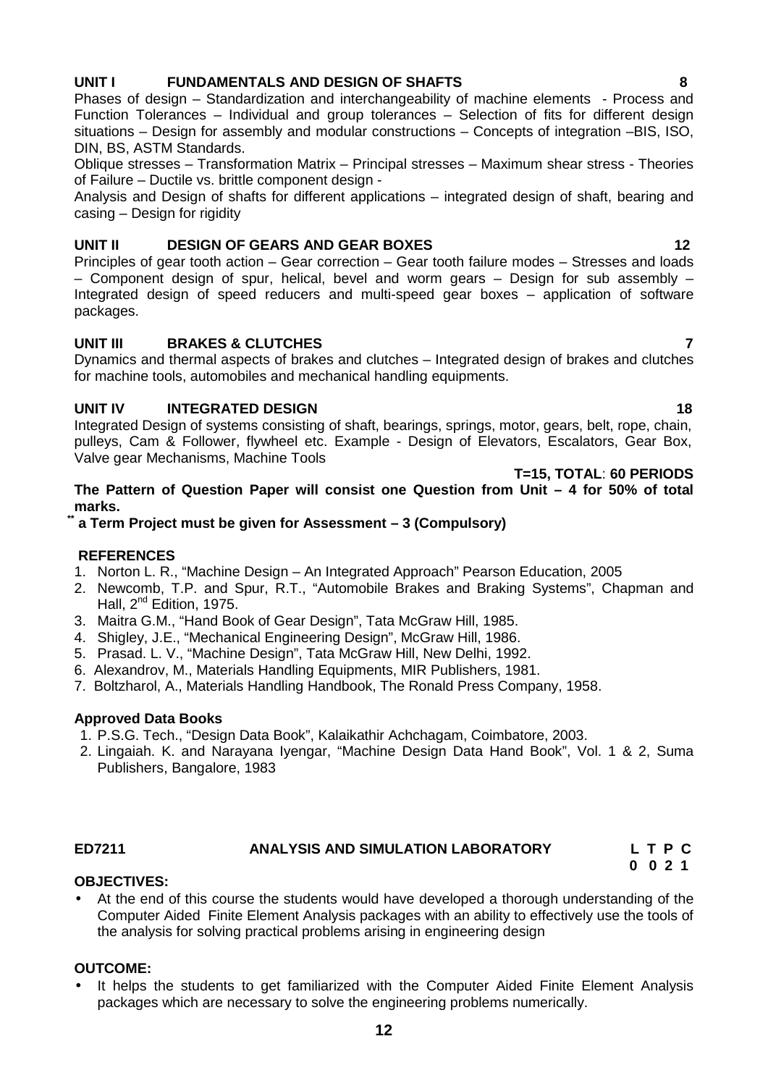# **12**

# **UNIT I FUNDAMENTALS AND DESIGN OF SHAFTS 8**

Phases of design – Standardization and interchangeability of machine elements - Process and Function Tolerances – Individual and group tolerances – Selection of fits for different design situations – Design for assembly and modular constructions – Concepts of integration –BIS, ISO, DIN, BS, ASTM Standards.

Oblique stresses – Transformation Matrix – Principal stresses – Maximum shear stress - Theories of Failure – Ductile vs. brittle component design -

Analysis and Design of shafts for different applications – integrated design of shaft, bearing and casing – Design for rigidity

# **UNIT II DESIGN OF GEARS AND GEAR BOXES 12**

Principles of gear tooth action – Gear correction – Gear tooth failure modes – Stresses and loads – Component design of spur, helical, bevel and worm gears – Design for sub assembly – Integrated design of speed reducers and multi-speed gear boxes – application of software packages.

# **UNIT III BRAKES & CLUTCHES 7**

Dynamics and thermal aspects of brakes and clutches – Integrated design of brakes and clutches for machine tools, automobiles and mechanical handling equipments.

# **UNIT IV INTEGRATED DESIGN 18**

Integrated Design of systems consisting of shaft, bearings, springs, motor, gears, belt, rope, chain, pulleys, Cam & Follower, flywheel etc. Example - Design of Elevators, Escalators, Gear Box, Valve gear Mechanisms, Machine Tools

**T=15, TOTAL**: **60 PERIODS**

### **The Pattern of Question Paper will consist one Question from Unit – 4 for 50% of total marks.**

# **\*\* a Term Project must be given for Assessment – 3 (Compulsory)**

# **REFERENCES**

- 1. Norton L. R., "Machine Design An Integrated Approach" Pearson Education, 2005
- 2. Newcomb, T.P. and Spur, R.T., "Automobile Brakes and Braking Systems", Chapman and Hall, 2<sup>nd</sup> Edition, 1975.
- 3. Maitra G.M., "Hand Book of Gear Design", Tata McGraw Hill, 1985.
- 4. Shigley, J.E., "Mechanical Engineering Design", McGraw Hill, 1986.
- 5. Prasad. L. V., "Machine Design", Tata McGraw Hill, New Delhi, 1992.
- 6. Alexandrov, M., Materials Handling Equipments, MIR Publishers, 1981.
- 7. Boltzharol, A., Materials Handling Handbook, The Ronald Press Company, 1958.

# **Approved Data Books**

- 1. P.S.G. Tech., "Design Data Book", Kalaikathir Achchagam, Coimbatore, 2003.
- 2. Lingaiah. K. and Narayana Iyengar, "Machine Design Data Hand Book", Vol. 1 & 2, Suma Publishers, Bangalore, 1983

#### **ED7211 ANALYSIS AND SIMULATION LABORATORY L T P C 0 0 2 1**

# **OBJECTIVES:**

 At the end of this course the students would have developed a thorough understanding of the Computer Aided Finite Element Analysis packages with an ability to effectively use the tools of the analysis for solving practical problems arising in engineering design

# **OUTCOME:**

• It helps the students to get familiarized with the Computer Aided Finite Element Analysis packages which are necessary to solve the engineering problems numerically.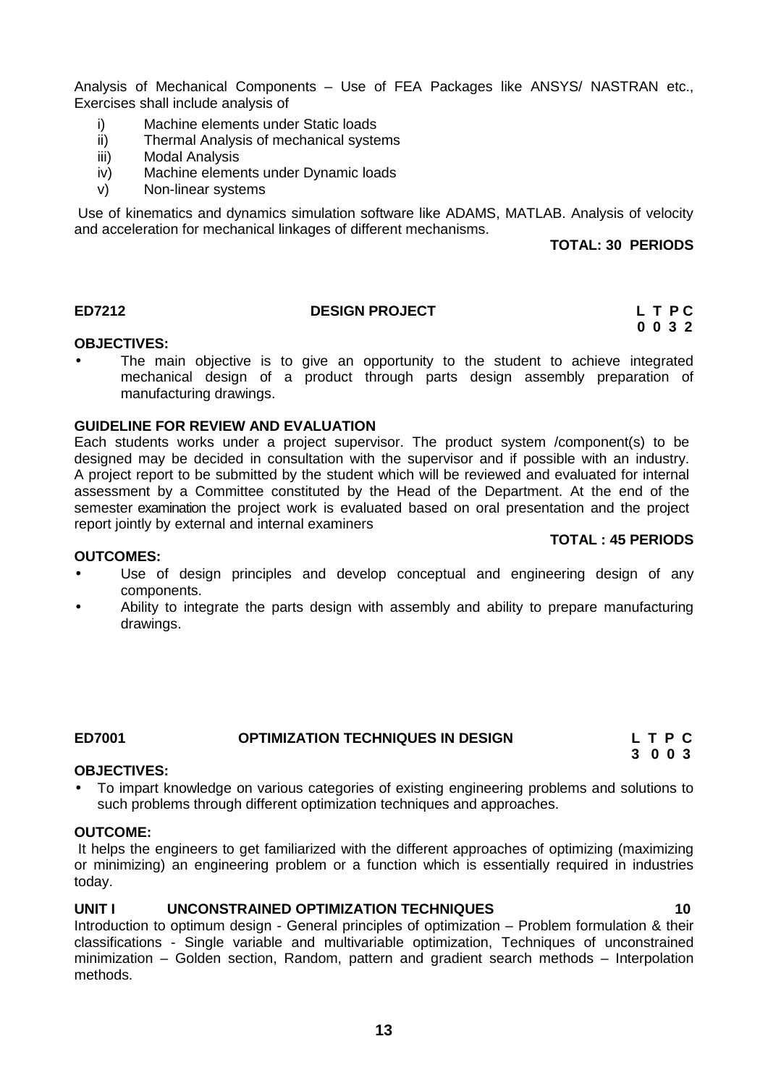Analysis of Mechanical Components – Use of FEA Packages like ANSYS/ NASTRAN etc., Exercises shall include analysis of

- i) Machine elements under Static loads
- ii) Thermal Analysis of mechanical systems
- iii) Modal Analysis
- iv) Machine elements under Dynamic loads
- v) Non-linear systems

Use of kinematics and dynamics simulation software like ADAMS, MATLAB. Analysis of velocity and acceleration for mechanical linkages of different mechanisms.

**TOTAL: 30 PERIODS**

**TOTAL : 45 PERIODS**

**3 0 0 3**

# **ED7212 DESIGN PROJECT L T P C**

# **0 0 3 2**

#### **OBJECTIVES:**

 The main objective is to give an opportunity to the student to achieve integrated mechanical design of a product through parts design assembly preparation of manufacturing drawings.

#### **GUIDELINE FOR REVIEW AND EVALUATION**

Each students works under a project supervisor. The product system /component(s) to be designed may be decided in consultation with the supervisor and if possible with an industry. A project report to be submitted by the student which will be reviewed and evaluated for internal assessment by a Committee constituted by the Head of the Department. At the end of the semester examination the project work is evaluated based on oral presentation and the project report jointly by external and internal examiners

#### **OUTCOMES:**

- Use of design principles and develop conceptual and engineering design of any components.
- Ability to integrate the parts design with assembly and ability to prepare manufacturing drawings.

#### **ED7001 OPTIMIZATION TECHNIQUES IN DESIGN L T P C**

#### **OBJECTIVES:**

 To impart knowledge on various categories of existing engineering problems and solutions to such problems through different optimization techniques and approaches.

#### **OUTCOME:**

methods.

It helps the engineers to get familiarized with the different approaches of optimizing (maximizing or minimizing) an engineering problem or a function which is essentially required in industries today.

#### **UNIT I UNCONSTRAINED OPTIMIZATION TECHNIQUES 10**

Introduction to optimum design - General principles of optimization – Problem formulation & their classifications - Single variable and multivariable optimization, Techniques of unconstrained minimization – Golden section, Random, pattern and gradient search methods – Interpolation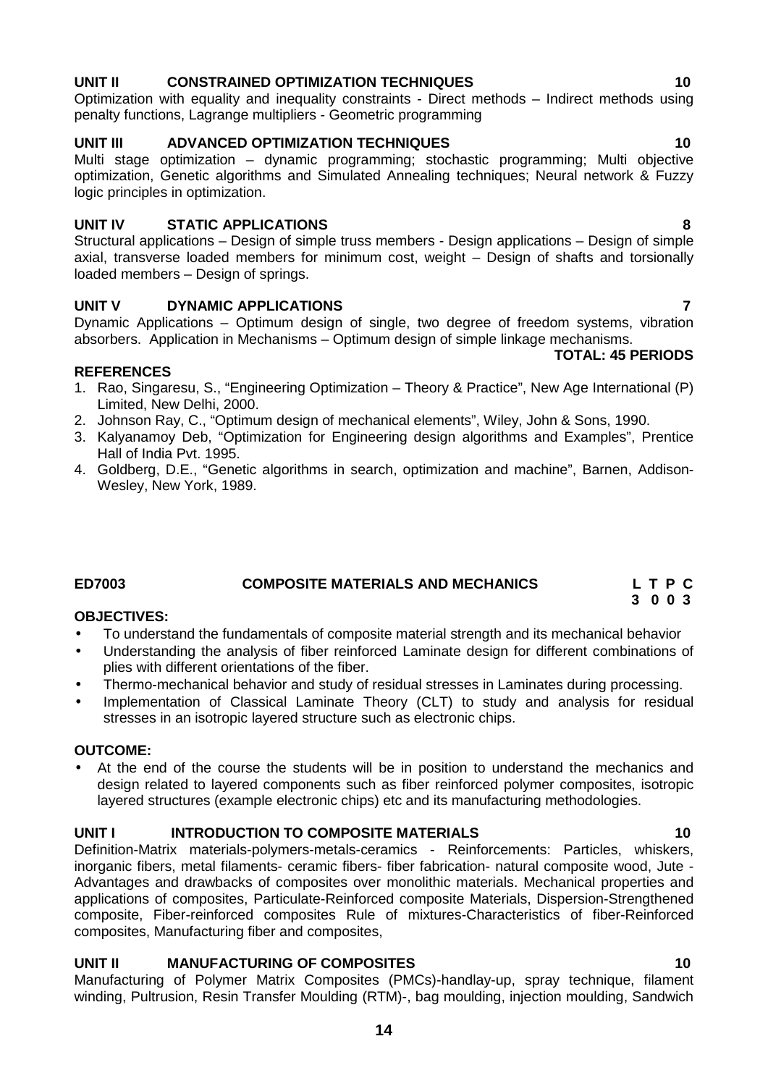# **UNIT II CONSTRAINED OPTIMIZATION TECHNIQUES 10**

Optimization with equality and inequality constraints - Direct methods – Indirect methods using penalty functions, Lagrange multipliers - Geometric programming

# **UNIT III ADVANCED OPTIMIZATION TECHNIQUES 10**

Multi stage optimization – dynamic programming; stochastic programming; Multi objective optimization, Genetic algorithms and Simulated Annealing techniques; Neural network & Fuzzy logic principles in optimization.

# **UNIT IV STATIC APPLICATIONS 8**

Structural applications – Design of simple truss members - Design applications – Design of simple axial, transverse loaded members for minimum cost, weight – Design of shafts and torsionally loaded members – Design of springs.

# **UNIT V DYNAMIC APPLICATIONS 7**

Dynamic Applications – Optimum design of single, two degree of freedom systems, vibration absorbers. Application in Mechanisms – Optimum design of simple linkage mechanisms.

# **REFERENCES**

- 1. Rao, Singaresu, S., "Engineering Optimization Theory & Practice", New Age International (P) Limited, New Delhi, 2000.
- 2. Johnson Ray, C., "Optimum design of mechanical elements", Wiley, John & Sons, 1990.
- 3. Kalyanamoy Deb, "Optimization for Engineering design algorithms and Examples", Prentice Hall of India Pvt. 1995.
- 4. Goldberg, D.E., "Genetic algorithms in search, optimization and machine", Barnen, Addison- Wesley, New York, 1989.

# **ED7003 COMPOSITE MATERIALS AND MECHANICS L T P C**

# **OBJECTIVES:**

- To understand the fundamentals of composite material strength and its mechanical behavior
- Understanding the analysis of fiber reinforced Laminate design for different combinations of plies with different orientations of the fiber.
- Thermo-mechanical behavior and study of residual stresses in Laminates during processing.
- Implementation of Classical Laminate Theory (CLT) to study and analysis for residual stresses in an isotropic layered structure such as electronic chips.

### **OUTCOME:**

 At the end of the course the students will be in position to understand the mechanics and design related to layered components such as fiber reinforced polymer composites, isotropic layered structures (example electronic chips) etc and its manufacturing methodologies.

# **UNIT I INTRODUCTION TO COMPOSITE MATERIALS 10**

Definition-Matrix materials-polymers-metals-ceramics - Reinforcements: Particles, whiskers, inorganic fibers, metal filaments- ceramic fibers- fiber fabrication- natural composite wood, Jute - Advantages and drawbacks of composites over monolithic materials. Mechanical properties and applications of composites, Particulate-Reinforced composite Materials, Dispersion-Strengthened composite, Fiber-reinforced composites Rule of mixtures-Characteristics of fiber-Reinforced composites, Manufacturing fiber and composites,

# **UNIT II MANUFACTURING OF COMPOSITES 10**

Manufacturing of Polymer Matrix Composites (PMCs)-handlay-up, spray technique, filament winding, Pultrusion, Resin Transfer Moulding (RTM)-, bag moulding, injection moulding, Sandwich

# **3 0 0 3**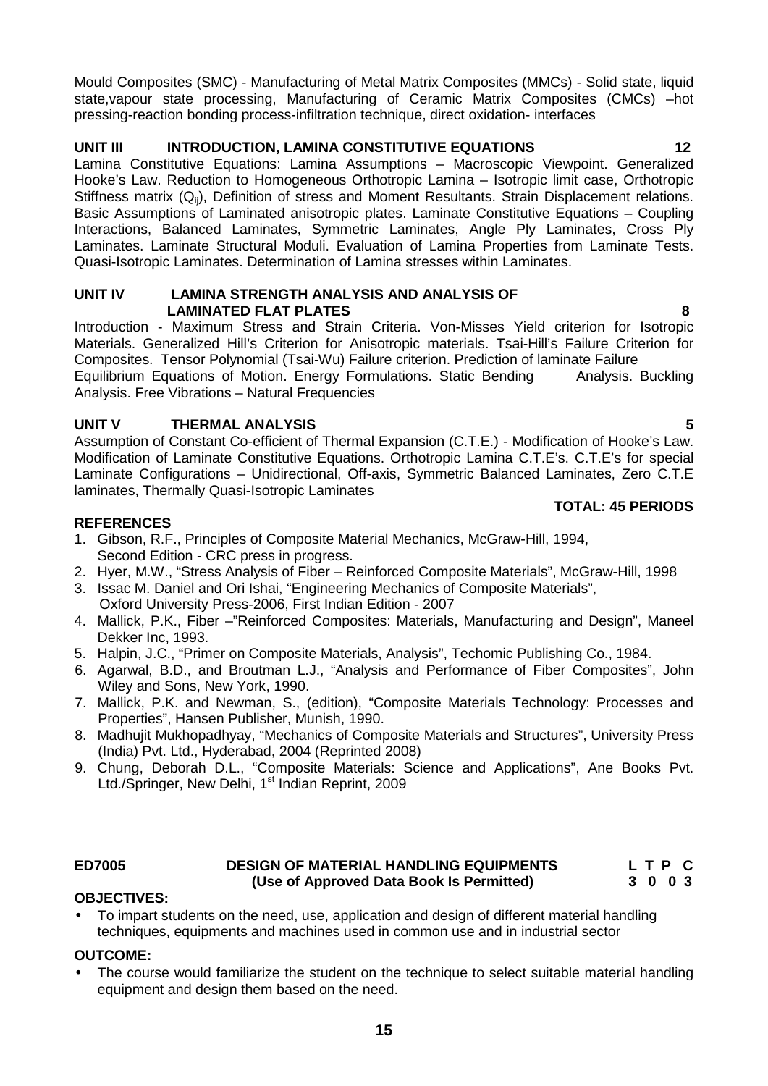Mould Composites (SMC) - Manufacturing of Metal Matrix Composites (MMCs) - Solid state, liquid state,vapour state processing, Manufacturing of Ceramic Matrix Composites (CMCs) –hot pressing-reaction bonding process-infiltration technique, direct oxidation- interfaces

# **UNIT III INTRODUCTION, LAMINA CONSTITUTIVE EQUATIONS 12**

Lamina Constitutive Equations: Lamina Assumptions – Macroscopic Viewpoint. Generalized Hooke's Law. Reduction to Homogeneous Orthotropic Lamina – Isotropic limit case, Orthotropic Stiffness matrix  $(Q_{ii})$ , Definition of stress and Moment Resultants. Strain Displacement relations. Basic Assumptions of Laminated anisotropic plates. Laminate Constitutive Equations – Coupling Interactions, Balanced Laminates, Symmetric Laminates, Angle Ply Laminates, Cross Ply Laminates. Laminate Structural Moduli. Evaluation of Lamina Properties from Laminate Tests. Quasi-Isotropic Laminates. Determination of Lamina stresses within Laminates.

### **UNIT IV LAMINA STRENGTH ANALYSIS AND ANALYSIS OF LAMINATED FLAT PLATES 8**

Introduction - Maximum Stress and Strain Criteria. Von-Misses Yield criterion for Isotropic Materials. Generalized Hill's Criterion for Anisotropic materials. Tsai-Hill's Failure Criterion for Composites. Tensor Polynomial (Tsai-Wu) Failure criterion. Prediction of laminate Failure Equilibrium Equations of Motion. Energy Formulations. Static Bending Analysis. Buckling Analysis. Free Vibrations – Natural Frequencies

# **UNIT V THERMAL ANALYSIS 5**

Assumption of Constant Co-efficient of Thermal Expansion (C.T.E.) - Modification of Hooke's Law. Modification of Laminate Constitutive Equations. Orthotropic Lamina C.T.E's. C.T.E's for special Laminate Configurations – Unidirectional, Off-axis, Symmetric Balanced Laminates, Zero C.T.E laminates, Thermally Quasi-Isotropic Laminates

# **REFERENCES**

- 1. Gibson, R.F., Principles of Composite Material Mechanics, McGraw-Hill, 1994, Second Edition - CRC press in progress.
- 2. Hyer, M.W., "Stress Analysis of Fiber Reinforced Composite Materials", McGraw-Hill, 1998
- 3. Issac M. Daniel and Ori Ishai, "Engineering Mechanics of Composite Materials", Oxford University Press-2006, First Indian Edition - 2007
- 4. Mallick, P.K., Fiber –"Reinforced Composites: Materials, Manufacturing and Design", Maneel Dekker Inc, 1993.
- 5. Halpin, J.C., "Primer on Composite Materials, Analysis", Techomic Publishing Co., 1984.
- 6. Agarwal, B.D., and Broutman L.J., "Analysis and Performance of Fiber Composites", John Wiley and Sons, New York, 1990.
- 7. Mallick, P.K. and Newman, S., (edition), "Composite Materials Technology: Processes and Properties", Hansen Publisher, Munish, 1990.
- 8. Madhujit Mukhopadhyay, "Mechanics of Composite Materials and Structures", University Press (India) Pvt. Ltd., Hyderabad, 2004 (Reprinted 2008)
- 9. Chung, Deborah D.L., "Composite Materials: Science and Applications", Ane Books Pvt. Ltd./Springer, New Delhi, 1<sup>st</sup> Indian Reprint, 2009

# **ED7005 DESIGN OF MATERIAL HANDLING EQUIPMENTS L T P C (Use of Approved Data Book Is Permitted) 3 0 0 3**

# **OBJECTIVES:**

 To impart students on the need, use, application and design of different material handling techniques, equipments and machines used in common use and in industrial sector

# **OUTCOME:**

 The course would familiarize the student on the technique to select suitable material handling equipment and design them based on the need.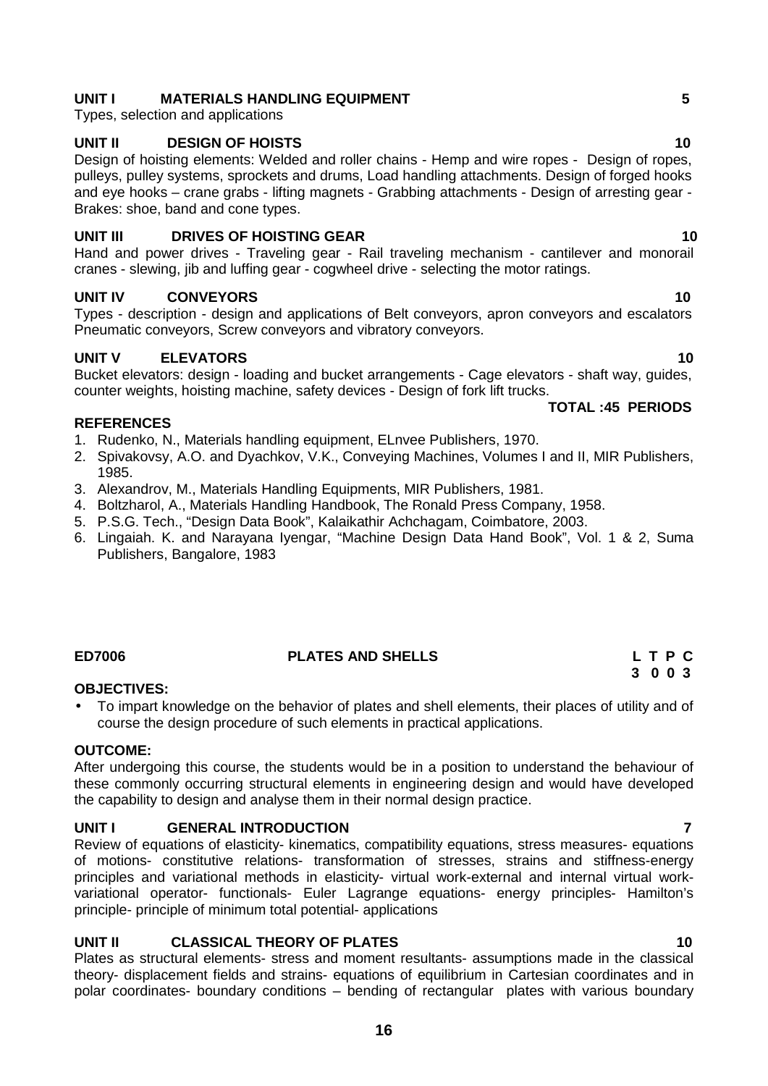# **UNIT I MATERIALS HANDLING EQUIPMENT 5**

Types, selection and applications

# **UNIT II DESIGN OF HOISTS 10**

Design of hoisting elements: Welded and roller chains - Hemp and wire ropes - Design of ropes, pulleys, pulley systems, sprockets and drums, Load handling attachments. Design of forged hooks and eye hooks – crane grabs - lifting magnets - Grabbing attachments - Design of arresting gear - Brakes: shoe, band and cone types.

# **UNIT III DRIVES OF HOISTING GEAR 10**

Hand and power drives - Traveling gear - Rail traveling mechanism - cantilever and monorail cranes - slewing, jib and luffing gear - cogwheel drive - selecting the motor ratings.

# **UNIT IV CONVEYORS 10**

Types - description - design and applications of Belt conveyors, apron conveyors and escalators Pneumatic conveyors, Screw conveyors and vibratory conveyors.

# **UNIT V ELEVATORS 10**

Bucket elevators: design - loading and bucket arrangements - Cage elevators - shaft way, guides, counter weights, hoisting machine, safety devices - Design of fork lift trucks.

# **REFERENCES**

- 1. Rudenko, N., Materials handling equipment, ELnvee Publishers, 1970.
- 2. Spivakovsy, A.O. and Dyachkov, V.K., Conveying Machines, Volumes I and II, MIR Publishers, 1985.
- 3. Alexandrov, M., Materials Handling Equipments, MIR Publishers, 1981.
- 4. Boltzharol, A., Materials Handling Handbook, The Ronald Press Company, 1958.
- 5. P.S.G. Tech., "Design Data Book", Kalaikathir Achchagam, Coimbatore, 2003.
- 6. Lingaiah. K. and Narayana Iyengar, "Machine Design Data Hand Book", Vol. 1 & 2, Suma Publishers, Bangalore, 1983

# **ED7006 PLATES AND SHELLS L T P C**

# **OBJECTIVES:**

 To impart knowledge on the behavior of plates and shell elements, their places of utility and of course the design procedure of such elements in practical applications.

#### **OUTCOME:**

After undergoing this course, the students would be in a position to understand the behaviour of these commonly occurring structural elements in engineering design and would have developed the capability to design and analyse them in their normal design practice.

# **UNIT I GENERAL INTRODUCTION 7**

Review of equations of elasticity- kinematics, compatibility equations, stress measures- equations of motions- constitutive relations- transformation of stresses, strains and stiffness-energy principles and variational methods in elasticity- virtual work-external and internal virtual work variational operator- functionals- Euler Lagrange equations- energy principles- Hamilton's principle- principle of minimum total potential- applications

# **UNIT II CLASSICAL THEORY OF PLATES 10**

Plates as structural elements- stress and moment resultants- assumptions made in the classical theory- displacement fields and strains- equations of equilibrium in Cartesian coordinates and in polar coordinates- boundary conditions – bending of rectangular plates with various boundary

#### **TOTAL :45 PERIODS**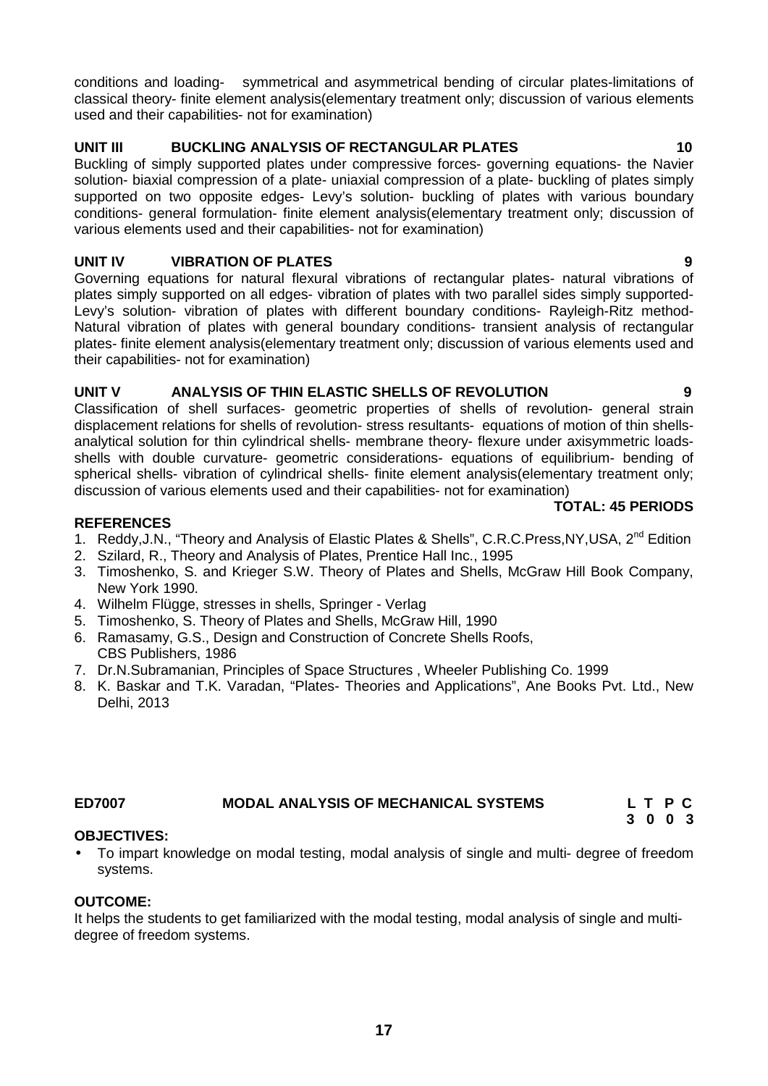conditions and loading- symmetrical and asymmetrical bending of circular plates-limitations of classical theory- finite element analysis(elementary treatment only; discussion of various elements used and their capabilities- not for examination)

# **UNIT III BUCKLING ANALYSIS OF RECTANGULAR PLATES 10**

Buckling of simply supported plates under compressive forces- governing equations- the Navier solution- biaxial compression of a plate- uniaxial compression of a plate- buckling of plates simply supported on two opposite edges- Levy's solution- buckling of plates with various boundary conditions- general formulation- finite element analysis(elementary treatment only; discussion of various elements used and their capabilities- not for examination)

# **UNIT IV VIBRATION OF PLATES 9**

Governing equations for natural flexural vibrations of rectangular plates- natural vibrations of plates simply supported on all edges- vibration of plates with two parallel sides simply supported- Levy's solution- vibration of plates with different boundary conditions- Rayleigh-Ritz method- Natural vibration of plates with general boundary conditions- transient analysis of rectangular plates- finite element analysis(elementary treatment only; discussion of various elements used and their capabilities- not for examination)

# **UNIT V ANALYSIS OF THIN ELASTIC SHELLS OF REVOLUTION 9**

Classification of shell surfaces- geometric properties of shells of revolution- general strain displacement relations for shells of revolution- stress resultants- equations of motion of thin shells analytical solution for thin cylindrical shells- membrane theory- flexure under axisymmetric loads shells with double curvature- geometric considerations- equations of equilibrium- bending of spherical shells- vibration of cylindrical shells- finite element analysis(elementary treatment only; discussion of various elements used and their capabilities- not for examination)

# **TOTAL: 45 PERIODS**

# **REFERENCES**

- 1. Reddy, J.N., "Theory and Analysis of Elastic Plates & Shells", C.R.C. Press, NY, USA, 2<sup>nd</sup> Edition
- 2. Szilard, R., Theory and Analysis of Plates, Prentice Hall Inc., 1995
- 3. Timoshenko, S. and Krieger S.W. Theory of Plates and Shells, McGraw Hill Book Company, New York 1990.
- 4. Wilhelm Flügge, stresses in shells, Springer Verlag
- 5. Timoshenko, S. Theory of Plates and Shells, McGraw Hill, 1990
- 6. Ramasamy, G.S., Design and Construction of Concrete Shells Roofs, CBS Publishers, 1986
- 7. Dr.N.Subramanian, Principles of Space Structures , Wheeler Publishing Co. 1999
- 8. K. Baskar and T.K. Varadan, "Plates- Theories and Applications", Ane Books Pvt. Ltd., New Delhi, 2013

# **ED7007 MODAL ANALYSIS OF MECHANICAL SYSTEMS L T P C**

# **OBJECTIVES:**

 To impart knowledge on modal testing, modal analysis of single and multi- degree of freedom systems.

#### **OUTCOME:**

It helps the students to get familiarized with the modal testing, modal analysis of single and multi degree of freedom systems.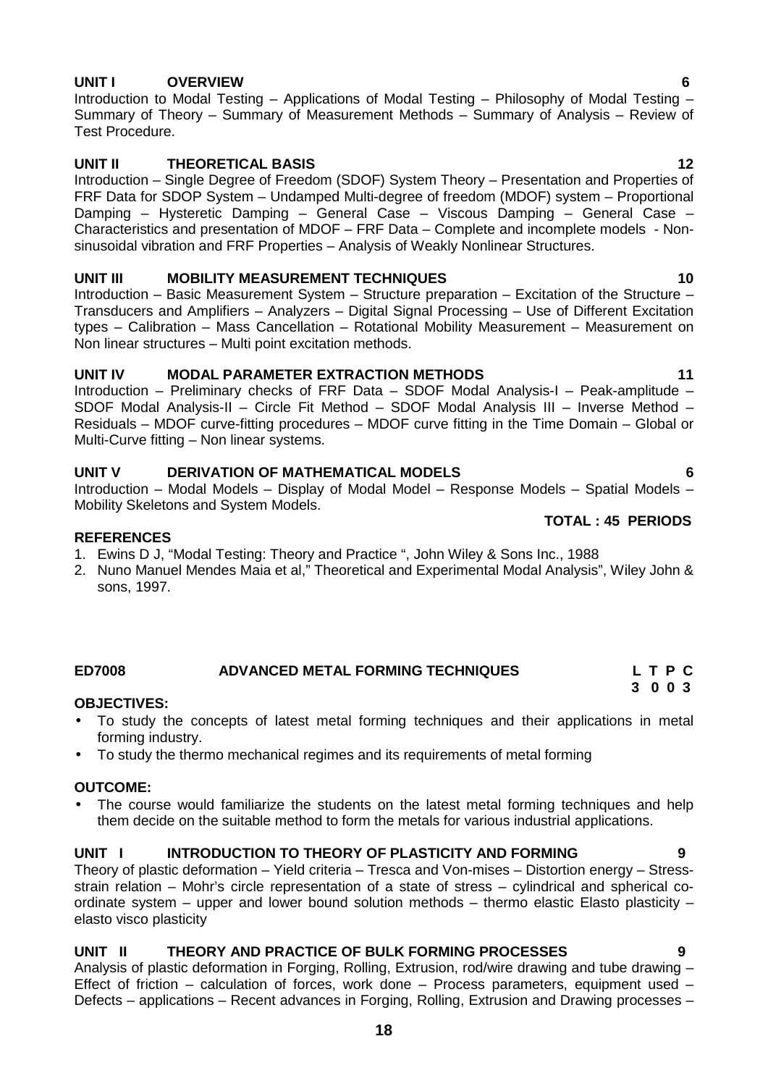# **UNIT I OVERVIEW 6**

Introduction to Modal Testing – Applications of Modal Testing – Philosophy of Modal Testing – Summary of Theory – Summary of Measurement Methods – Summary of Analysis – Review of Test Procedure.

# **UNIT II THEORETICAL BASIS 12**

Introduction – Single Degree of Freedom (SDOF) System Theory – Presentation and Properties of FRF Data for SDOP System – Undamped Multi-degree of freedom (MDOF) system – Proportional Damping – Hysteretic Damping – General Case – Viscous Damping – General Case – Characteristics and presentation of MDOF – FRF Data – Complete and incomplete models - Non sinusoidal vibration and FRF Properties – Analysis of Weakly Nonlinear Structures.

# **UNIT III MOBILITY MEASUREMENT TECHNIQUES 10**

Introduction – Basic Measurement System – Structure preparation – Excitation of the Structure – Transducers and Amplifiers – Analyzers – Digital Signal Processing – Use of Different Excitation types – Calibration – Mass Cancellation – Rotational Mobility Measurement – Measurement on Non linear structures – Multi point excitation methods.

# **UNIT IV MODAL PARAMETER EXTRACTION METHODS 11**

Introduction – Preliminary checks of FRF Data – SDOF Modal Analysis-I – Peak-amplitude – SDOF Modal Analysis-II – Circle Fit Method – SDOF Modal Analysis III – Inverse Method – Residuals – MDOF curve-fitting procedures – MDOF curve fitting in the Time Domain – Global or Multi-Curve fitting – Non linear systems.

# **UNIT V DERIVATION OF MATHEMATICAL MODELS 6**

Introduction – Modal Models – Display of Modal Model – Response Models – Spatial Models – Mobility Skeletons and System Models.

# **REFERENCES**

- 1. Ewins D J, "Modal Testing: Theory and Practice ", John Wiley & Sons Inc., 1988
- 2. Nuno Manuel Mendes Maia et al," Theoretical and Experimental Modal Analysis", Wiley John & sons, 1997.

# **ED7008 ADVANCED METAL FORMING TECHNIQUES L T P C**

#### **OBJECTIVES:**

- To study the concepts of latest metal forming techniques and their applications in metal forming industry.
- To study the thermo mechanical regimes and its requirements of metal forming

# **OUTCOME:**

• The course would familiarize the students on the latest metal forming techniques and help them decide on the suitable method to form the metals for various industrial applications.

# **UNIT I INTRODUCTION TO THEORY OF PLASTICITY AND FORMING 9**

Theory of plastic deformation – Yield criteria – Tresca and Von-mises – Distortion energy – Stress strain relation – Mohr's circle representation of a state of stress – cylindrical and spherical co ordinate system – upper and lower bound solution methods – thermo elastic Elasto plasticity – elasto visco plasticity

# **UNIT II THEORY AND PRACTICE OF BULK FORMING PROCESSES 9**

Analysis of plastic deformation in Forging, Rolling, Extrusion, rod/wire drawing and tube drawing – Effect of friction – calculation of forces, work done – Process parameters, equipment used – Defects – applications – Recent advances in Forging, Rolling, Extrusion and Drawing processes –

**TOTAL : 45 PERIODS**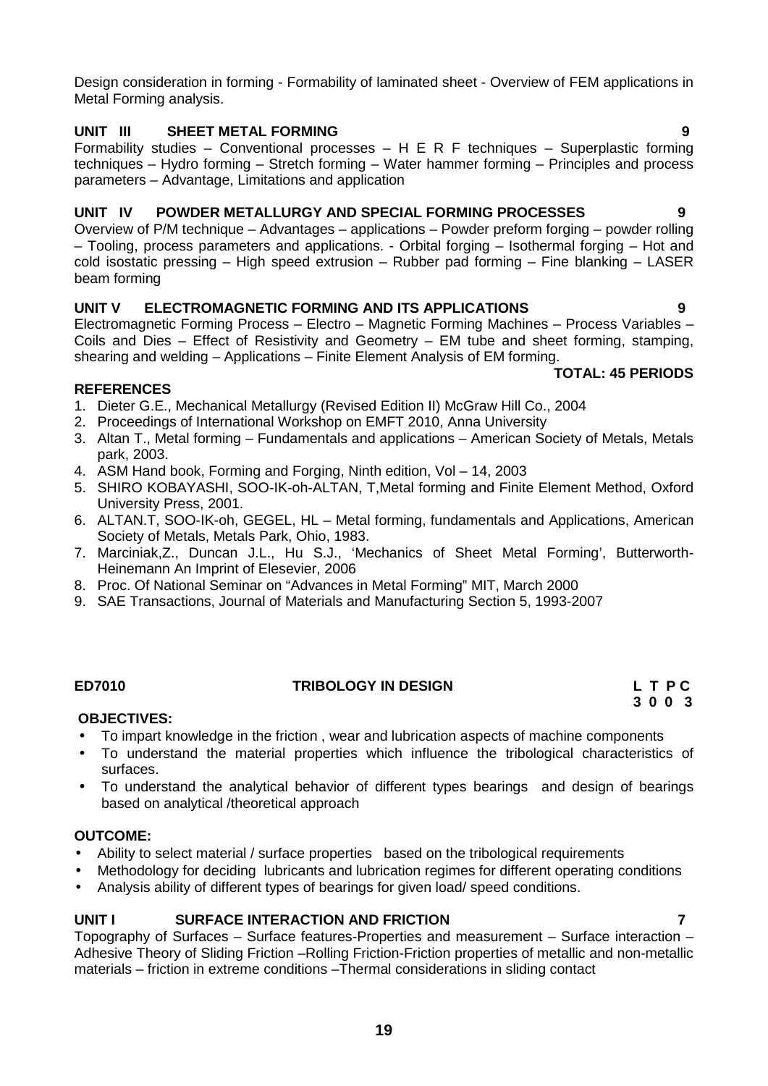Design consideration in forming - Formability of laminated sheet - Overview of FEM applications in Metal Forming analysis.

# **UNIT III SHEET METAL FORMING 9**

Formability studies – Conventional processes – H E R F techniques – Superplastic forming techniques – Hydro forming – Stretch forming – Water hammer forming – Principles and process parameters – Advantage, Limitations and application

# **UNIT IV POWDER METALLURGY AND SPECIAL FORMING PROCESSES 9**

Overview of P/M technique – Advantages – applications – Powder preform forging – powder rolling – Tooling, process parameters and applications. - Orbital forging – Isothermal forging – Hot and cold isostatic pressing – High speed extrusion – Rubber pad forming – Fine blanking – LASER beam forming

# **UNIT V ELECTROMAGNETIC FORMING AND ITS APPLICATIONS 9**

Electromagnetic Forming Process – Electro – Magnetic Forming Machines – Process Variables – Coils and Dies – Effect of Resistivity and Geometry – EM tube and sheet forming, stamping, shearing and welding – Applications – Finite Element Analysis of EM forming.

# **TOTAL: 45 PERIODS**

# **REFERENCES**

- 1. Dieter G.E., Mechanical Metallurgy (Revised Edition II) McGraw Hill Co., 2004
- 2. Proceedings of International Workshop on EMFT 2010, Anna University
- 3. Altan T., Metal forming Fundamentals and applications American Society of Metals, Metals park, 2003.
- 4. ASM Hand book, Forming and Forging, Ninth edition, Vol 14, 2003
- 5. SHIRO KOBAYASHI, SOO-IK-oh-ALTAN, T,Metal forming and Finite Element Method, Oxford University Press, 2001.
- 6. ALTAN.T, SOO-IK-oh, GEGEL, HL Metal forming, fundamentals and Applications, American Society of Metals, Metals Park, Ohio, 1983.
- 7. Marciniak,Z., Duncan J.L., Hu S.J., 'Mechanics of Sheet Metal Forming', Butterworth- Heinemann An Imprint of Elesevier, 2006
- 8. Proc. Of National Seminar on "Advances in Metal Forming" MIT, March 2000
- 9. SAE Transactions, Journal of Materials and Manufacturing Section 5, 1993-2007

# **ED7010 TRIBOLOGY IN DESIGN L T P C**

# **3 0 0 3**

# **OBJECTIVES:**

- To impart knowledge in the friction , wear and lubrication aspects of machine components
- To understand the material properties which influence the tribological characteristics of surfaces.
- To understand the analytical behavior of different types bearings and design of bearings based on analytical /theoretical approach

# **OUTCOME:**

- Ability to select material / surface properties based on the tribological requirements
- Methodology for deciding lubricants and lubrication regimes for different operating conditions
- Analysis ability of different types of bearings for given load/ speed conditions.

# **UNIT I SURFACE INTERACTION AND FRICTION 7**

Topography of Surfaces – Surface features-Properties and measurement – Surface interaction – Adhesive Theory of Sliding Friction –Rolling Friction-Friction properties of metallic and non-metallic materials – friction in extreme conditions –Thermal considerations in sliding contact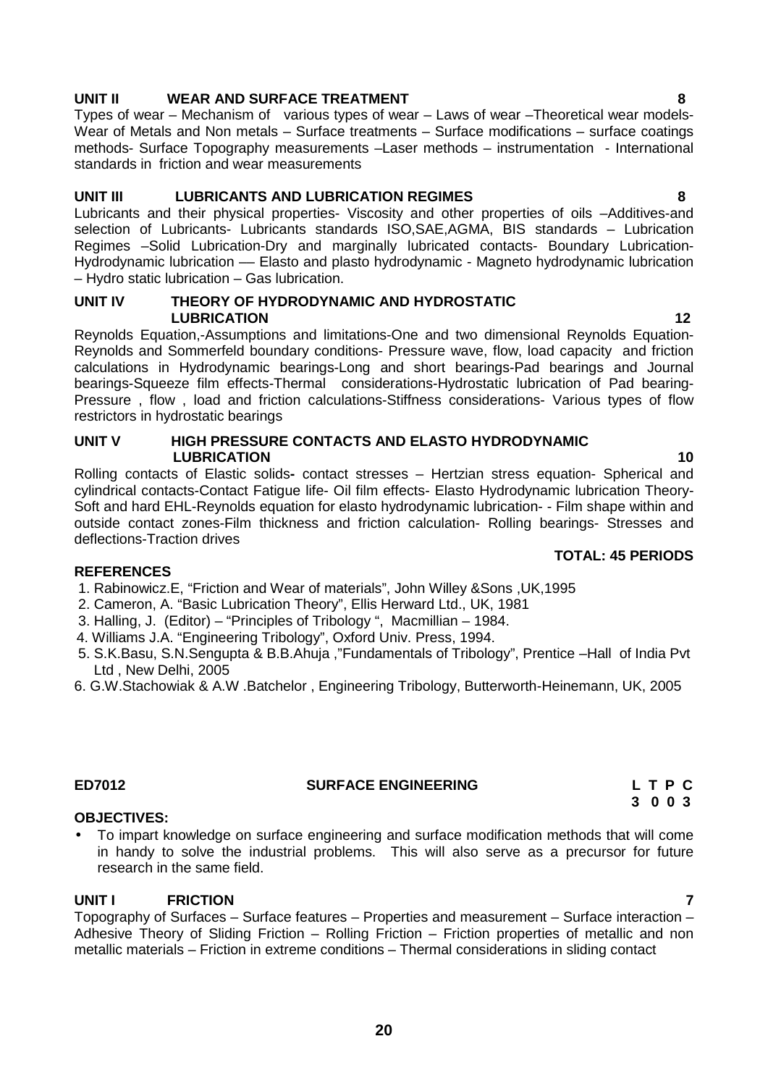# **UNIT II WEAR AND SURFACE TREATMENT 8**

Types of wear – Mechanism of various types of wear – Laws of wear –Theoretical wear models- Wear of Metals and Non metals – Surface treatments – Surface modifications – surface coatings methods- Surface Topography measurements –Laser methods – instrumentation - International standards in friction and wear measurements

# **UNIT III LUBRICANTS AND LUBRICATION REGIMES 8**

Lubricants and their physical properties- Viscosity and other properties of oils –Additives-and selection of Lubricants- Lubricants standards ISO,SAE,AGMA, BIS standards – Lubrication Regimes –Solid Lubrication-Dry and marginally lubricated contacts- Boundary Lubrication- Hydrodynamic lubrication –– Elasto and plasto hydrodynamic - Magneto hydrodynamic lubrication – Hydro static lubrication – Gas lubrication.

#### **UNIT IV THEORY OF HYDRODYNAMIC AND HYDROSTATIC LUBRICATION 12**

Reynolds Equation,-Assumptions and limitations-One and two dimensional Reynolds Equation- Reynolds and Sommerfeld boundary conditions- Pressure wave, flow, load capacity and friction calculations in Hydrodynamic bearings-Long and short bearings-Pad bearings and Journal bearings-Squeeze film effects-Thermal considerations-Hydrostatic lubrication of Pad bearing- Pressure , flow , load and friction calculations-Stiffness considerations- Various types of flow restrictors in hydrostatic bearings

# **UNIT V HIGH PRESSURE CONTACTS AND ELASTO HYDRODYNAMIC LUBRICATION 10**

Rolling contacts of Elastic solids**-** contact stresses – Hertzian stress equation- Spherical and cylindrical contacts-Contact Fatigue life- Oil film effects- Elasto Hydrodynamic lubrication Theory- Soft and hard EHL-Reynolds equation for elasto hydrodynamic lubrication- - Film shape within and outside contact zones-Film thickness and friction calculation- Rolling bearings- Stresses and deflections-Traction drives

# **REFERENCES**

- 1. Rabinowicz.E, "Friction and Wear of materials", John Willey &Sons ,UK,1995
- 2. Cameron, A. "Basic Lubrication Theory", Ellis Herward Ltd., UK, 1981
- 3. Halling, J. (Editor) "Principles of Tribology ", Macmillian 1984.
- 4. Williams J.A. "Engineering Tribology", Oxford Univ. Press, 1994.
- 5. S.K.Basu, S.N.Sengupta & B.B.Ahuja ,"Fundamentals of Tribology", Prentice –Hall of India Pvt Ltd , New Delhi, 2005
- 6. G.W.Stachowiak & A.W .Batchelor , Engineering Tribology, Butterworth-Heinemann, UK, 2005

# **OBJECTIVES:**

 To impart knowledge on surface engineering and surface modification methods that will come in handy to solve the industrial problems. This will also serve as a precursor for future research in the same field.

# **UNIT I FRICTION 7**

Topography of Surfaces – Surface features – Properties and measurement – Surface interaction – Adhesive Theory of Sliding Friction – Rolling Friction – Friction properties of metallic and non metallic materials – Friction in extreme conditions – Thermal considerations in sliding contact

# **TOTAL: 45 PERIODS**

**ED7012 SURFACE ENGINEERING L T P C 3 0 0 3**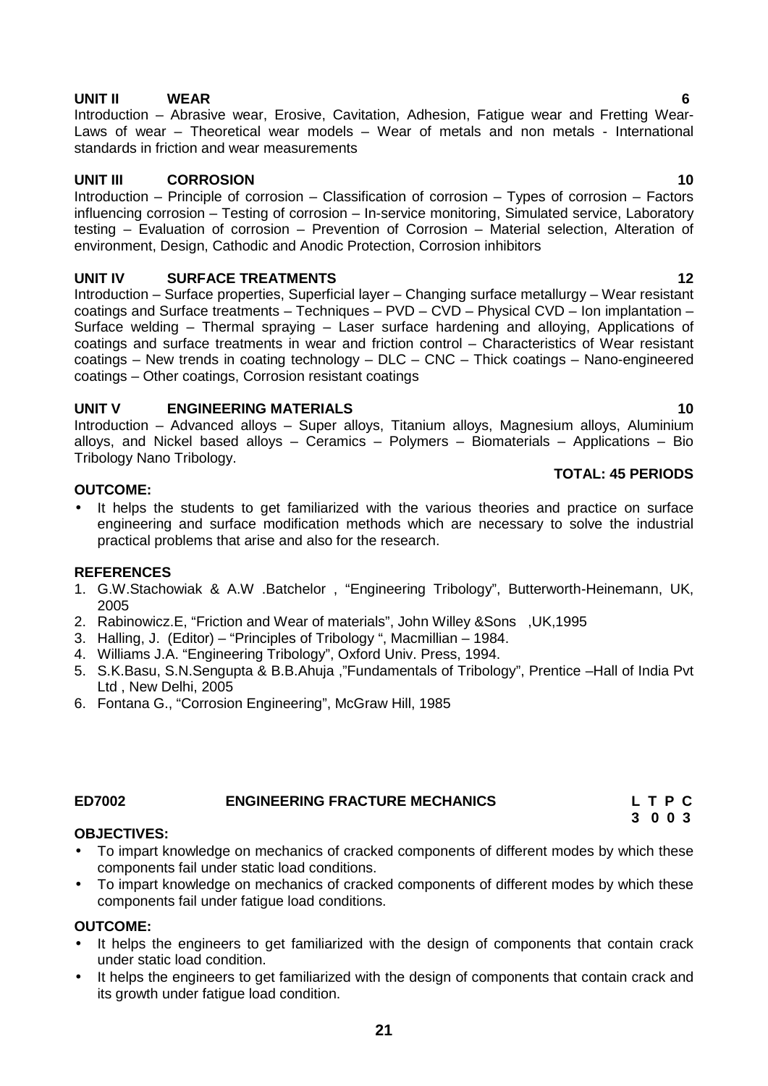# **UNIT II WEAR 6**

Introduction – Abrasive wear, Erosive, Cavitation, Adhesion, Fatigue wear and Fretting Wear- Laws of wear – Theoretical wear models – Wear of metals and non metals - International standards in friction and wear measurements

# **UNIT III CORROSION 10**

Introduction – Principle of corrosion – Classification of corrosion – Types of corrosion – Factors influencing corrosion – Testing of corrosion – In-service monitoring, Simulated service, Laboratory testing – Evaluation of corrosion – Prevention of Corrosion – Material selection, Alteration of environment, Design, Cathodic and Anodic Protection, Corrosion inhibitors

# **UNIT IV SURFACE TREATMENTS 12**

Introduction – Surface properties, Superficial layer – Changing surface metallurgy – Wear resistant coatings and Surface treatments - Techniques - PVD - CVD - Physical CVD - Ion implantation -Surface welding – Thermal spraying – Laser surface hardening and alloying, Applications of coatings and surface treatments in wear and friction control – Characteristics of Wear resistant coatings – New trends in coating technology – DLC – CNC – Thick coatings – Nano-engineered coatings – Other coatings, Corrosion resistant coatings

# **UNIT V ENGINEERING MATERIALS 10**

Introduction – Advanced alloys – Super alloys, Titanium alloys, Magnesium alloys, Aluminium alloys, and Nickel based alloys – Ceramics – Polymers – Biomaterials – Applications – Bio Tribology Nano Tribology.

# **OUTCOME:**

It helps the students to get familiarized with the various theories and practice on surface engineering and surface modification methods which are necessary to solve the industrial practical problems that arise and also for the research.

# **REFERENCES**

- 1. G.W.Stachowiak & A.W .Batchelor , "Engineering Tribology", Butterworth-Heinemann, UK, 2005
- 2. Rabinowicz.E, "Friction and Wear of materials", John Willey &Sons ,UK,1995
- 3. Halling, J. (Editor) "Principles of Tribology ", Macmillian 1984.
- 4. Williams J.A. "Engineering Tribology", Oxford Univ. Press, 1994.
- 5. S.K.Basu, S.N.Sengupta & B.B.Ahuja ,"Fundamentals of Tribology", Prentice –Hall of India Pvt Ltd , New Delhi, 2005
- 6. Fontana G., "Corrosion Engineering", McGraw Hill, 1985

# **ED7002 ENGINEERING FRACTURE MECHANICS L T P C**

# **OBJECTIVES:**

- To impart knowledge on mechanics of cracked components of different modes by which these components fail under static load conditions.
- To impart knowledge on mechanics of cracked components of different modes by which these components fail under fatigue load conditions.

# **OUTCOME:**

- It helps the engineers to get familiarized with the design of components that contain crack under static load condition.
- It helps the engineers to get familiarized with the design of components that contain crack and its growth under fatigue load condition.

**TOTAL: 45 PERIODS**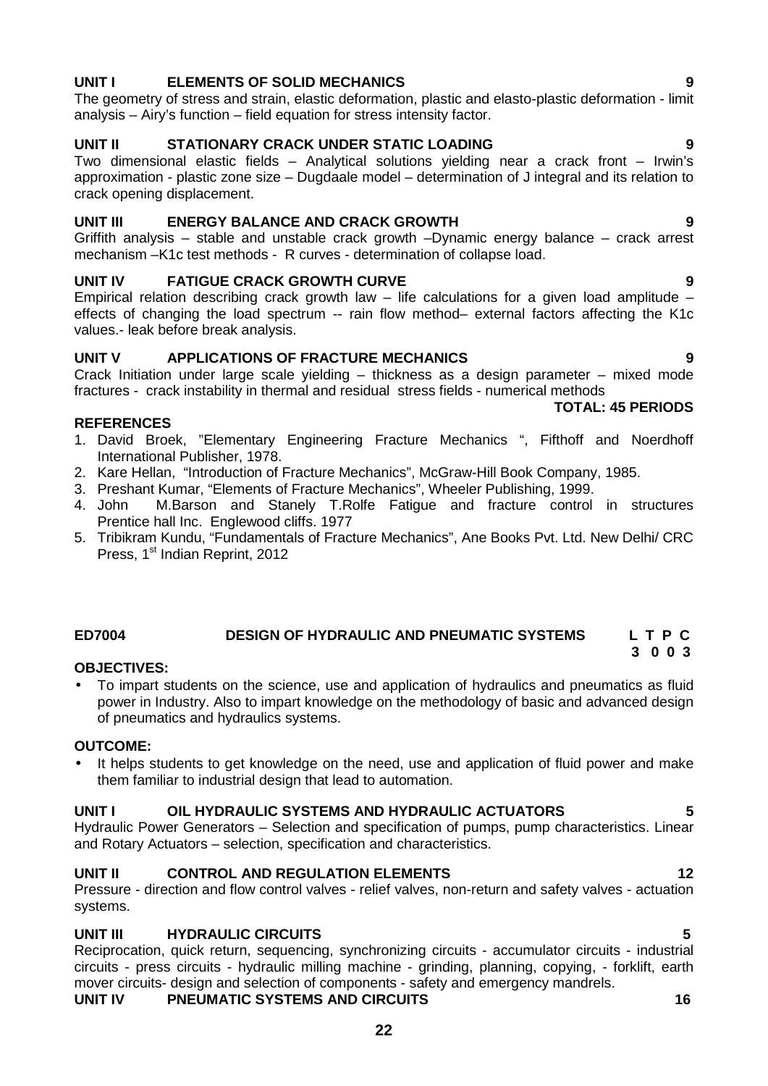# **22**

# **UNIT I ELEMENTS OF SOLID MECHANICS 9**

The geometry of stress and strain, elastic deformation, plastic and elasto-plastic deformation - limit analysis – Airy's function – field equation for stress intensity factor.

# **UNIT II STATIONARY CRACK UNDER STATIC LOADING 9**

Two dimensional elastic fields – Analytical solutions yielding near a crack front – Irwin's approximation - plastic zone size – Dugdaale model – determination of J integral and its relation to crack opening displacement.

# **UNIT III ENERGY BALANCE AND CRACK GROWTH 9**

Griffith analysis – stable and unstable crack growth –Dynamic energy balance – crack arrest mechanism –K1c test methods - R curves - determination of collapse load.

# **UNIT IV FATIGUE CRACK GROWTH CURVE 9**

Empirical relation describing crack growth law  $-$  life calculations for a given load amplitude  $$ effects of changing the load spectrum -- rain flow method– external factors affecting the K1c values.- leak before break analysis.

# **UNIT V APPLICATIONS OF FRACTURE MECHANICS 9**

Crack Initiation under large scale yielding – thickness as a design parameter – mixed mode fractures - crack instability in thermal and residual stress fields - numerical methods

# **REFERENCES**

- 1. David Broek, "Elementary Engineering Fracture Mechanics ", Fifthoff and Noerdhoff International Publisher, 1978.
- 2. Kare Hellan, "Introduction of Fracture Mechanics", McGraw-Hill Book Company, 1985.
- 3. Preshant Kumar, "Elements of Fracture Mechanics", Wheeler Publishing, 1999.
- 4. John M.Barson and Stanely T.Rolfe Fatigue and fracture control in structures Prentice hall Inc. Englewood cliffs. 1977
- 5. Tribikram Kundu, "Fundamentals of Fracture Mechanics", Ane Books Pvt. Ltd. New Delhi/ CRC Press, 1<sup>st</sup> Indian Reprint, 2012

# **ED7004 DESIGN OF HYDRAULIC AND PNEUMATIC SYSTEMS L T P C**

# **OBJECTIVES:**

 To impart students on the science, use and application of hydraulics and pneumatics as fluid power in Industry. Also to impart knowledge on the methodology of basic and advanced design of pneumatics and hydraulics systems.

# **OUTCOME:**

 It helps students to get knowledge on the need, use and application of fluid power and make them familiar to industrial design that lead to automation.

# **UNIT I OIL HYDRAULIC SYSTEMS AND HYDRAULIC ACTUATORS 5**

Hydraulic Power Generators – Selection and specification of pumps, pump characteristics. Linear and Rotary Actuators – selection, specification and characteristics.

# **UNIT II CONTROL AND REGULATION ELEMENTS 12**

Pressure - direction and flow control valves - relief valves, non-return and safety valves - actuation systems.

# **UNIT III HYDRAULIC CIRCUITS 5**

Reciprocation, quick return, sequencing, synchronizing circuits - accumulator circuits - industrial circuits - press circuits - hydraulic milling machine - grinding, planning, copying, - forklift, earth mover circuits- design and selection of components - safety and emergency mandrels. **UNIT IV PNEUMATIC SYSTEMS AND CIRCUITS 16**

**3 0 0 3**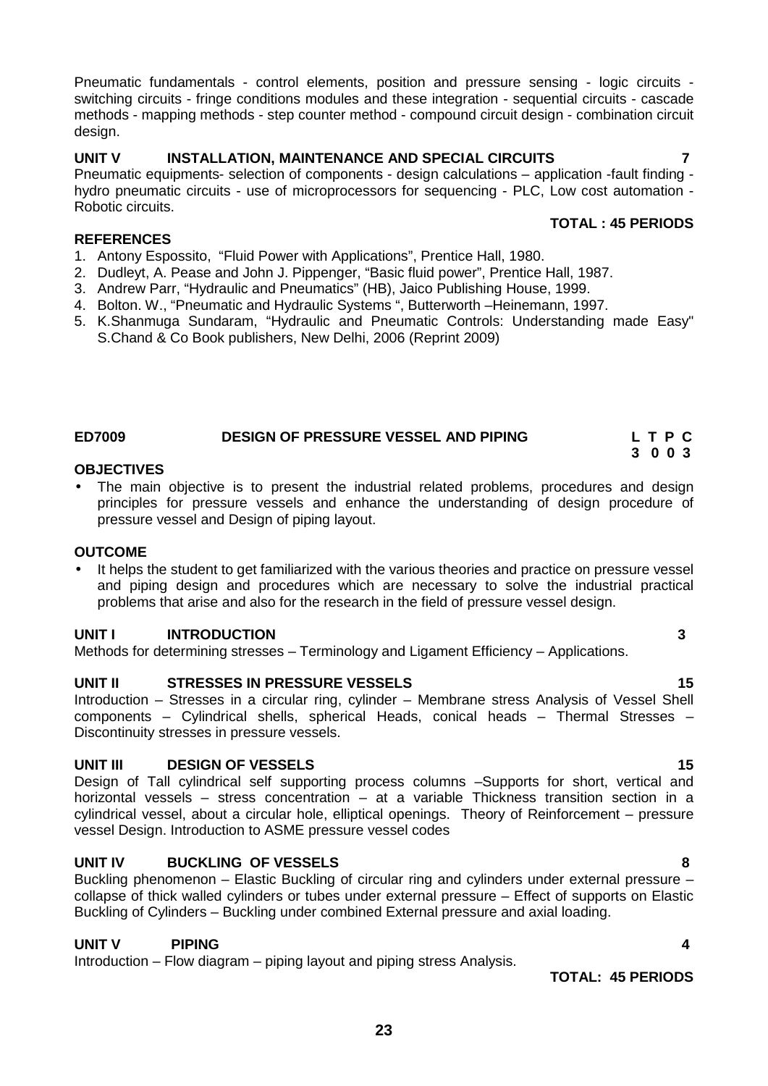Pneumatic fundamentals - control elements, position and pressure sensing - logic circuits switching circuits - fringe conditions modules and these integration - sequential circuits - cascade methods - mapping methods - step counter method - compound circuit design - combination circuit design.

# **UNIT V INSTALLATION, MAINTENANCE AND SPECIAL CIRCUITS 7**

Pneumatic equipments- selection of components - design calculations – application -fault finding hydro pneumatic circuits - use of microprocessors for sequencing - PLC, Low cost automation - Robotic circuits. **TOTAL : 45 PERIODS**

# **REFERENCES**

- 1. Antony Espossito, "Fluid Power with Applications", Prentice Hall, 1980.
- 2. Dudleyt, A. Pease and John J. Pippenger, "Basic fluid power", Prentice Hall, 1987.
- 3. Andrew Parr, "Hydraulic and Pneumatics" (HB), Jaico Publishing House, 1999.
- 4. Bolton. W., "Pneumatic and Hydraulic Systems", Butterworth Heinemann, 1997.
- 5. K.Shanmuga Sundaram, "Hydraulic and Pneumatic Controls: Understanding made Easy" S.Chand & Co Book publishers, New Delhi, 2006 (Reprint 2009)

# **ED7009 DESIGN OF PRESSURE VESSEL AND PIPING L T P C**

#### **OBJECTIVES**

 The main objective is to present the industrial related problems, procedures and design principles for pressure vessels and enhance the understanding of design procedure of pressure vessel and Design of piping layout.

# **OUTCOME**

 It helps the student to get familiarized with the various theories and practice on pressure vessel and piping design and procedures which are necessary to solve the industrial practical problems that arise and also for the research in the field of pressure vessel design.

# **UNIT I INTRODUCTION 3**

Methods for determining stresses – Terminology and Ligament Efficiency – Applications.

# **UNIT II STRESSES IN PRESSURE VESSELS 15**

Introduction – Stresses in a circular ring, cylinder – Membrane stress Analysis of Vessel Shell components – Cylindrical shells, spherical Heads, conical heads – Thermal Stresses – Discontinuity stresses in pressure vessels.

# **UNIT III DESIGN OF VESSELS 15**

Design of Tall cylindrical self supporting process columns –Supports for short, vertical and horizontal vessels – stress concentration – at a variable Thickness transition section in a cylindrical vessel, about a circular hole, elliptical openings. Theory of Reinforcement – pressure vessel Design. Introduction to ASME pressure vessel codes

# **UNIT IV BUCKLING OF VESSELS 8**

Buckling phenomenon – Elastic Buckling of circular ring and cylinders under external pressure – collapse of thick walled cylinders or tubes under external pressure – Effect of supports on Elastic Buckling of Cylinders – Buckling under combined External pressure and axial loading.

# **UNIT V PIPING 4**

Introduction – Flow diagram – piping layout and piping stress Analysis.

**TOTAL: 45 PERIODS**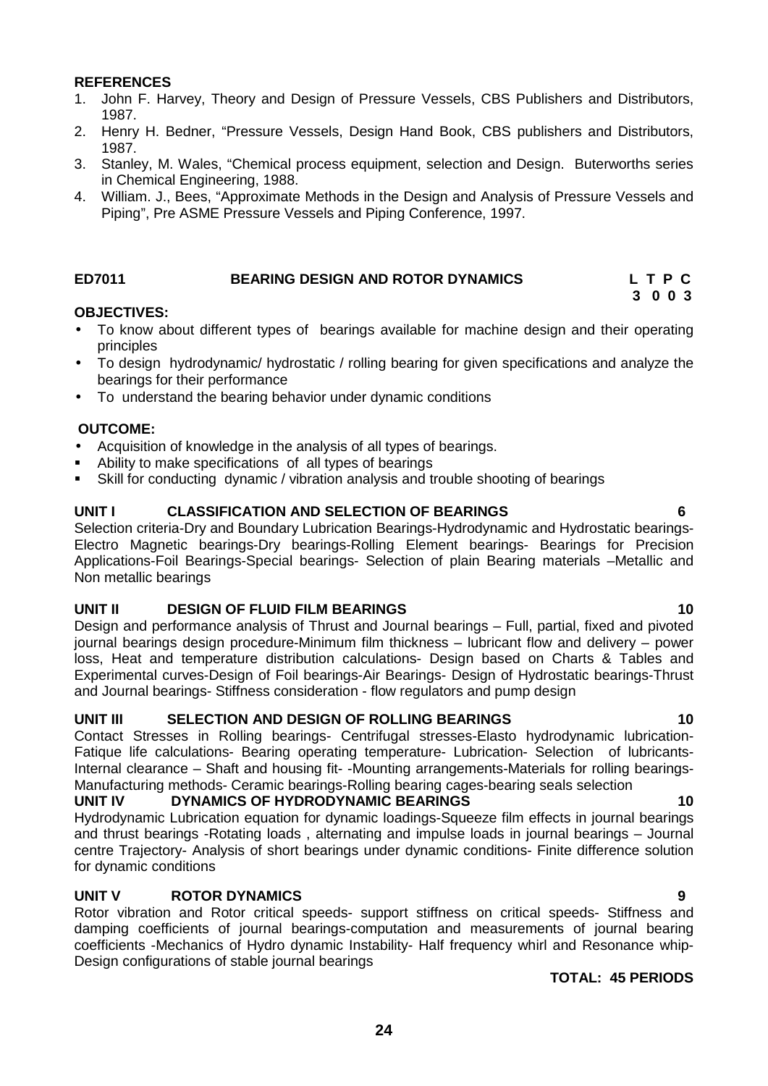### **REFERENCES**

- 1. John F. Harvey, Theory and Design of Pressure Vessels, CBS Publishers and Distributors, 1987.
- 2. Henry H. Bedner, "Pressure Vessels, Design Hand Book, CBS publishers and Distributors, 1987.
- 3. Stanley, M. Wales, "Chemical process equipment, selection and Design. Buterworths series in Chemical Engineering, 1988.
- 4. William. J., Bees, "Approximate Methods in the Design and Analysis of Pressure Vessels and Piping", Pre ASME Pressure Vessels and Piping Conference, 1997.

# **ED7011 BEARING DESIGN AND ROTOR DYNAMICS L T P C**

# **3 0 0 3**

#### **OBJECTIVES:**

- To know about different types of bearings available for machine design and their operating principles
- To design hydrodynamic/ hydrostatic / rolling bearing for given specifications and analyze the bearings for their performance
- To understand the bearing behavior under dynamic conditions

#### **OUTCOME:**

- Acquisition of knowledge in the analysis of all types of bearings.
- Ability to make specifications of all types of bearings
- Skill for conducting dynamic / vibration analysis and trouble shooting of bearings

#### **UNIT I CLASSIFICATION AND SELECTION OF BEARINGS 6**

Selection criteria-Dry and Boundary Lubrication Bearings-Hydrodynamic and Hydrostatic bearings- Electro Magnetic bearings-Dry bearings-Rolling Element bearings- Bearings for Precision Applications-Foil Bearings-Special bearings- Selection of plain Bearing materials –Metallic and Non metallic bearings

#### **UNIT II DESIGN OF FLUID FILM BEARINGS 10**

Design and performance analysis of Thrust and Journal bearings – Full, partial, fixed and pivoted journal bearings design procedure-Minimum film thickness – lubricant flow and delivery – power loss, Heat and temperature distribution calculations- Design based on Charts & Tables and Experimental curves-Design of Foil bearings-Air Bearings- Design of Hydrostatic bearings-Thrust and Journal bearings- Stiffness consideration - flow regulators and pump design

### **UNIT III SELECTION AND DESIGN OF ROLLING BEARINGS 10**

Contact Stresses in Rolling bearings- Centrifugal stresses-Elasto hydrodynamic lubrication- Fatique life calculations- Bearing operating temperature- Lubrication- Selection of lubricants-Internal clearance – Shaft and housing fit- -Mounting arrangements-Materials for rolling bearings- Manufacturing methods- Ceramic bearings-Rolling bearing cages-bearing seals selection<br>UNIT IV DYNAMICS OF HYDRODYNAMIC BEARINGS

#### **UNIT IV DYNAMICS OF HYDRODYNAMIC BEARINGS 10**

Hydrodynamic Lubrication equation for dynamic loadings-Squeeze film effects in journal bearings and thrust bearings -Rotating loads , alternating and impulse loads in journal bearings – Journal centre Trajectory- Analysis of short bearings under dynamic conditions- Finite difference solution for dynamic conditions

# **UNIT V ROTOR DYNAMICS 9**

Rotor vibration and Rotor critical speeds- support stiffness on critical speeds- Stiffness and damping coefficients of journal bearings-computation and measurements of journal bearing coefficients -Mechanics of Hydro dynamic Instability- Half frequency whirl and Resonance whip- Design configurations of stable journal bearings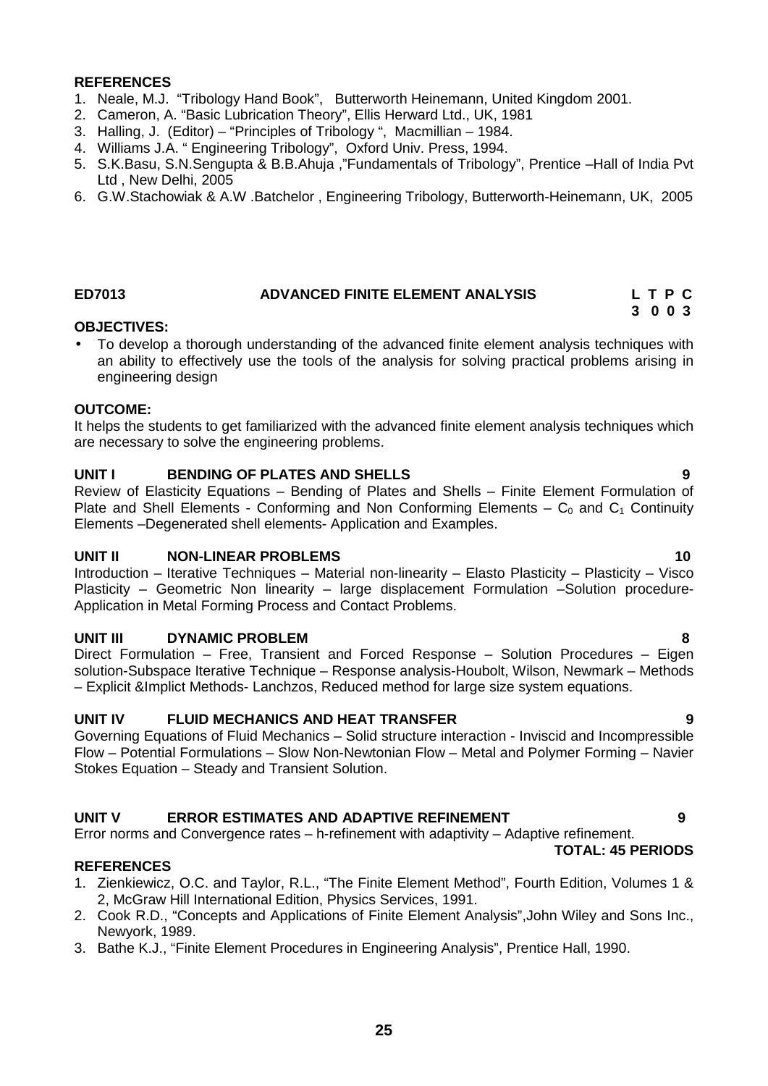#### **REFERENCES**

- 1. Neale, M.J. "Tribology Hand Book", Butterworth Heinemann, United Kingdom 2001.
- 2. Cameron, A. "Basic Lubrication Theory", Ellis Herward Ltd., UK, 1981
- 3. Halling, J. (Editor) "Principles of Tribology ", Macmillian 1984.
- 4. Williams J.A. " Engineering Tribology", Oxford Univ. Press, 1994.
- 5. S.K.Basu, S.N.Sengupta & B.B.Ahuja ,"Fundamentals of Tribology", Prentice –Hall of India Pvt Ltd , New Delhi, 2005
- 6. G.W.Stachowiak & A.W .Batchelor , Engineering Tribology, Butterworth-Heinemann, UK, 2005

#### **ED7013 ADVANCED FINITE ELEMENT ANALYSIS L T P C 3 0 0 3**

#### **OBJECTIVES:**

 To develop a thorough understanding of the advanced finite element analysis techniques with an ability to effectively use the tools of the analysis for solving practical problems arising in engineering design

#### **OUTCOME:**

It helps the students to get familiarized with the advanced finite element analysis techniques which are necessary to solve the engineering problems.

#### **UNIT I BENDING OF PLATES AND SHELLS 9**

Review of Elasticity Equations – Bending of Plates and Shells – Finite Element Formulation of Plate and Shell Elements - Conforming and Non Conforming Elements –  $C_0$  and  $C_1$  Continuity Elements –Degenerated shell elements- Application and Examples.

#### **UNIT II NON-LINEAR PROBLEMS 10**

Introduction – Iterative Techniques – Material non-linearity – Elasto Plasticity – Plasticity – Visco Plasticity – Geometric Non linearity – large displacement Formulation –Solution procedure- Application in Metal Forming Process and Contact Problems.

#### **UNIT III DYNAMIC PROBLEM 8**

Direct Formulation – Free, Transient and Forced Response – Solution Procedures – Eigen solution-Subspace Iterative Technique – Response analysis-Houbolt, Wilson, Newmark – Methods – Explicit &Implict Methods- Lanchzos, Reduced method for large size system equations.

#### **UNIT IV FLUID MECHANICS AND HEAT TRANSFER 9**

Governing Equations of Fluid Mechanics – Solid structure interaction - Inviscid and Incompressible Flow – Potential Formulations – Slow Non-Newtonian Flow – Metal and Polymer Forming – Navier Stokes Equation – Steady and Transient Solution.

# **UNIT V ERROR ESTIMATES AND ADAPTIVE REFINEMENT 9**

Error norms and Convergence rates – h-refinement with adaptivity – Adaptive refinement. **TOTAL: 45 PERIODS**

#### **REFERENCES**

- 1. Zienkiewicz, O.C. and Taylor, R.L., "The Finite Element Method", Fourth Edition, Volumes 1 & 2, McGraw Hill International Edition, Physics Services, 1991.
- 2. Cook R.D., "Concepts and Applications of Finite Element Analysis",John Wiley and Sons Inc., Newyork, 1989.
- 3. Bathe K.J., "Finite Element Procedures in Engineering Analysis", Prentice Hall, 1990.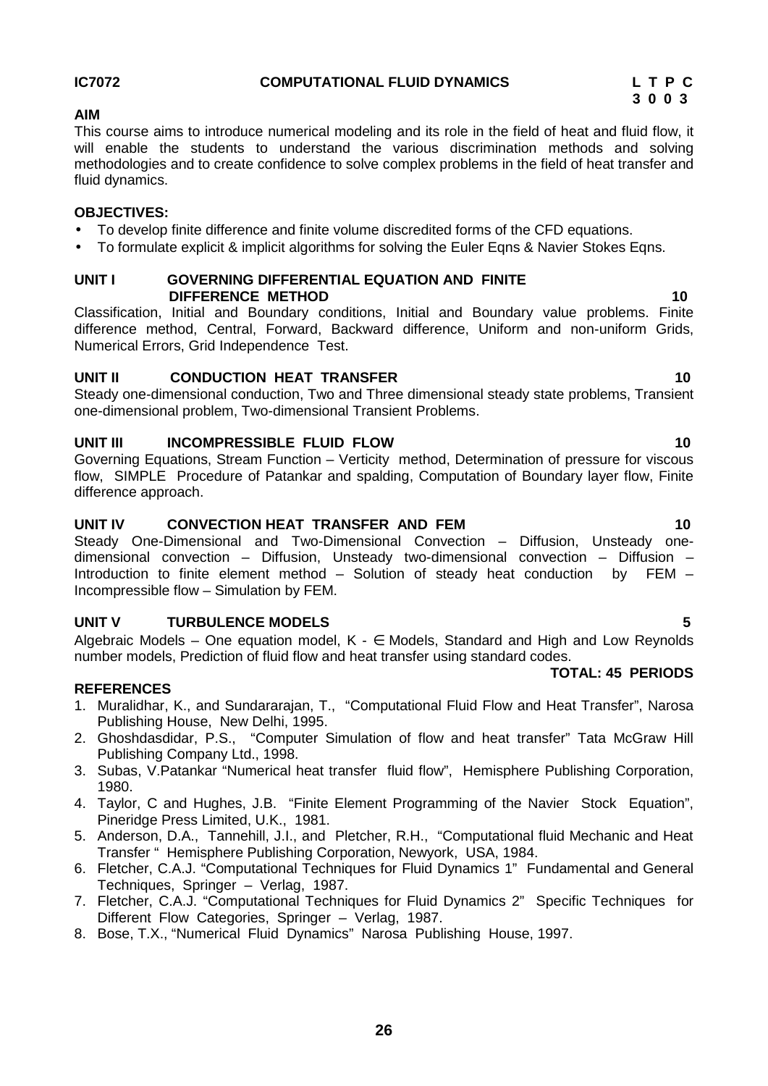# **IC7072 COMPUTATIONAL FLUID DYNAMICS L T P C**

# **AIM**

This course aims to introduce numerical modeling and its role in the field of heat and fluid flow, it will enable the students to understand the various discrimination methods and solving methodologies and to create confidence to solve complex problems in the field of heat transfer and fluid dynamics.

# **OBJECTIVES:**

# To develop finite difference and finite volume discredited forms of the CFD equations.

• To formulate explicit & implicit algorithms for solving the Euler Eqns & Navier Stokes Eqns.

#### **UNIT I GOVERNING DIFFERENTIAL EQUATION AND FINITE DIFFERENCE METHOD 10**

Classification, Initial and Boundary conditions, Initial and Boundary value problems. Finite difference method, Central, Forward, Backward difference, Uniform and non-uniform Grids, Numerical Errors, Grid Independence Test.

# **UNIT II CONDUCTION HEAT TRANSFER 10**

Steady one-dimensional conduction, Two and Three dimensional steady state problems, Transient one-dimensional problem, Two-dimensional Transient Problems.

# **UNIT III INCOMPRESSIBLE FLUID FLOW 10**

Governing Equations, Stream Function – Verticity method, Determination of pressure for viscous flow, SIMPLE Procedure of Patankar and spalding, Computation of Boundary layer flow, Finite difference approach.

# **UNIT IV CONVECTION HEAT TRANSFER AND FEM 10**

Steady One-Dimensional and Two-Dimensional Convection – Diffusion, Unsteady one dimensional convection – Diffusion, Unsteady two-dimensional convection – Diffusion – Introduction to finite element method – Solution of steady heat conduction by FEM – Incompressible flow – Simulation by FEM.

# **UNIT V TURBULENCE MODELS 5**

Algebraic Models – One equation model,  $K - \epsilon$  Models, Standard and High and Low Reynolds number models, Prediction of fluid flow and heat transfer using standard codes.

# **REFERENCES**

- 1. Muralidhar, K., and Sundararajan, T., "Computational Fluid Flow and Heat Transfer", Narosa Publishing House, New Delhi, 1995.
- 2. Ghoshdasdidar, P.S., "Computer Simulation of flow and heat transfer" Tata McGraw Hill Publishing Company Ltd., 1998.
- 3. Subas, V.Patankar "Numerical heat transfer fluid flow", Hemisphere Publishing Corporation, 1980.
- 4. Taylor, C and Hughes, J.B. "Finite Element Programming of the Navier Stock Equation", Pineridge Press Limited, U.K., 1981.
- 5. Anderson, D.A., Tannehill, J.I., and Pletcher, R.H., "Computational fluid Mechanic and Heat Transfer " Hemisphere Publishing Corporation, Newyork, USA, 1984.
- 6. Fletcher, C.A.J. "Computational Techniques for Fluid Dynamics 1" Fundamental and General Techniques, Springer – Verlag, 1987.
- 7. Fletcher, C.A.J. "Computational Techniques for Fluid Dynamics 2" Specific Techniques for Different Flow Categories, Springer – Verlag, 1987.
- 8. Bose, T.X., "Numerical Fluid Dynamics" Narosa Publishing House, 1997.